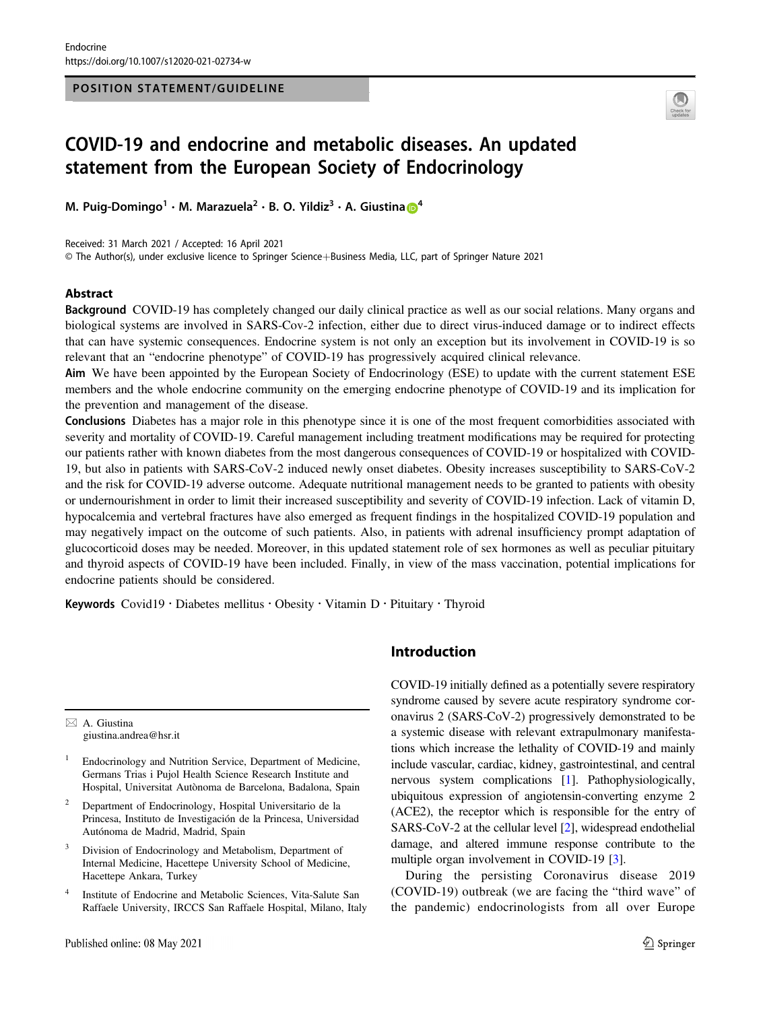#### POSITION STATEMENT/GUIDELINE



# COVID-19 and endocrine and metabolic diseases. An updated statement from the European Society of Endocrinology

M. Puig-Domingo<sup>1</sup> · M. M[a](http://orcid.org/0000-0001-6783-3398)razuela<sup>2</sup> · B. O. Yildiz<sup>3</sup> · A. Giustina **6**<sup>[4](http://orcid.org/0000-0001-6783-3398)</sup>

Received: 31 March 2021 / Accepted: 16 April 2021

© The Author(s), under exclusive licence to Springer Science+Business Media, LLC, part of Springer Nature 2021

#### Abstract

Background COVID-19 has completely changed our daily clinical practice as well as our social relations. Many organs and biological systems are involved in SARS-Cov-2 infection, either due to direct virus-induced damage or to indirect effects that can have systemic consequences. Endocrine system is not only an exception but its involvement in COVID-19 is so relevant that an "endocrine phenotype" of COVID-19 has progressively acquired clinical relevance.

Aim We have been appointed by the European Society of Endocrinology (ESE) to update with the current statement ESE members and the whole endocrine community on the emerging endocrine phenotype of COVID-19 and its implication for the prevention and management of the disease.

Conclusions Diabetes has a major role in this phenotype since it is one of the most frequent comorbidities associated with severity and mortality of COVID-19. Careful management including treatment modifications may be required for protecting our patients rather with known diabetes from the most dangerous consequences of COVID-19 or hospitalized with COVID-19, but also in patients with SARS-CoV-2 induced newly onset diabetes. Obesity increases susceptibility to SARS-CoV-2 and the risk for COVID-19 adverse outcome. Adequate nutritional management needs to be granted to patients with obesity or undernourishment in order to limit their increased susceptibility and severity of COVID-19 infection. Lack of vitamin D, hypocalcemia and vertebral fractures have also emerged as frequent findings in the hospitalized COVID-19 population and may negatively impact on the outcome of such patients. Also, in patients with adrenal insufficiency prompt adaptation of glucocorticoid doses may be needed. Moreover, in this updated statement role of sex hormones as well as peculiar pituitary and thyroid aspects of COVID-19 have been included. Finally, in view of the mass vaccination, potential implications for endocrine patients should be considered.

Keywords Covid19 · Diabetes mellitus · Obesity · Vitamin D · Pituitary · Thyroid

 $\boxtimes$  A. Giustina [giustina.andrea@hsr.it](mailto:giustina.andrea@hsr.it)

- <sup>1</sup> Endocrinology and Nutrition Service, Department of Medicine, Germans Trias i Pujol Health Science Research Institute and Hospital, Universitat Autònoma de Barcelona, Badalona, Spain
- <sup>2</sup> Department of Endocrinology, Hospital Universitario de la Princesa, Instituto de Investigación de la Princesa, Universidad Autónoma de Madrid, Madrid, Spain
- <sup>3</sup> Division of Endocrinology and Metabolism, Department of Internal Medicine, Hacettepe University School of Medicine, Hacettepe Ankara, Turkey
- <sup>4</sup> Institute of Endocrine and Metabolic Sciences, Vita-Salute San Raffaele University, IRCCS San Raffaele Hospital, Milano, Italy

# Introduction

COVID-19 initially defined as a potentially severe respiratory syndrome caused by severe acute respiratory syndrome coronavirus 2 (SARS-CoV-2) progressively demonstrated to be a systemic disease with relevant extrapulmonary manifestations which increase the lethality of COVID-19 and mainly include vascular, cardiac, kidney, gastrointestinal, and central nervous system complications [[1](#page-10-0)]. Pathophysiologically, ubiquitous expression of angiotensin-converting enzyme 2 (ACE2), the receptor which is responsible for the entry of SARS-CoV-2 at the cellular level [[2\]](#page-10-0), widespread endothelial damage, and altered immune response contribute to the multiple organ involvement in COVID-19 [[3\]](#page-10-0).

During the persisting Coronavirus disease 2019 (COVID-19) outbreak (we are facing the "third wave" of the pandemic) endocrinologists from all over Europe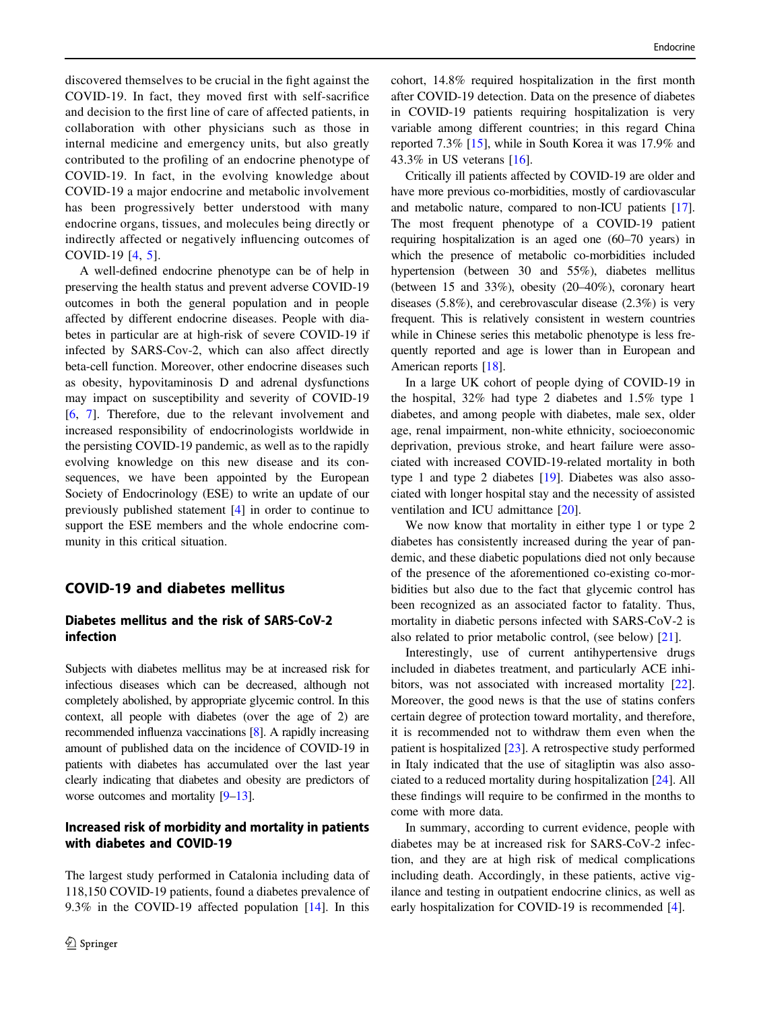discovered themselves to be crucial in the fight against the COVID-19. In fact, they moved first with self-sacrifice and decision to the first line of care of affected patients, in collaboration with other physicians such as those in internal medicine and emergency units, but also greatly contributed to the profiling of an endocrine phenotype of COVID-19. In fact, in the evolving knowledge about COVID-19 a major endocrine and metabolic involvement has been progressively better understood with many endocrine organs, tissues, and molecules being directly or indirectly affected or negatively influencing outcomes of COVID-19 [[4,](#page-10-0) [5](#page-10-0)].

A well-defined endocrine phenotype can be of help in preserving the health status and prevent adverse COVID-19 outcomes in both the general population and in people affected by different endocrine diseases. People with diabetes in particular are at high-risk of severe COVID-19 if infected by SARS-Cov-2, which can also affect directly beta-cell function. Moreover, other endocrine diseases such as obesity, hypovitaminosis D and adrenal dysfunctions may impact on susceptibility and severity of COVID-19 [\[6](#page-10-0), [7](#page-10-0)]. Therefore, due to the relevant involvement and increased responsibility of endocrinologists worldwide in the persisting COVID-19 pandemic, as well as to the rapidly evolving knowledge on this new disease and its consequences, we have been appointed by the European Society of Endocrinology (ESE) to write an update of our previously published statement [[4\]](#page-10-0) in order to continue to support the ESE members and the whole endocrine community in this critical situation.

# COVID-19 and diabetes mellitus

# Diabetes mellitus and the risk of SARS-CoV-2 infection

Subjects with diabetes mellitus may be at increased risk for infectious diseases which can be decreased, although not completely abolished, by appropriate glycemic control. In this context, all people with diabetes (over the age of 2) are recommended influenza vaccinations [\[8](#page-10-0)]. A rapidly increasing amount of published data on the incidence of COVID-19 in patients with diabetes has accumulated over the last year clearly indicating that diabetes and obesity are predictors of worse outcomes and mortality [\[9](#page-10-0)–[13](#page-10-0)].

# Increased risk of morbidity and mortality in patients with diabetes and COVID-19

The largest study performed in Catalonia including data of 118,150 COVID-19 patients, found a diabetes prevalence of 9.3% in the COVID-19 affected population [[14\]](#page-10-0). In this

cohort, 14.8% required hospitalization in the first month after COVID-19 detection. Data on the presence of diabetes in COVID-19 patients requiring hospitalization is very variable among different countries; in this regard China reported 7.3% [[15](#page-10-0)], while in South Korea it was 17.9% and 43.3% in US veterans [[16\]](#page-10-0).

Critically ill patients affected by COVID-19 are older and have more previous co-morbidities, mostly of cardiovascular and metabolic nature, compared to non-ICU patients [[17\]](#page-10-0). The most frequent phenotype of a COVID-19 patient requiring hospitalization is an aged one (60–70 years) in which the presence of metabolic co-morbidities included hypertension (between 30 and 55%), diabetes mellitus (between 15 and 33%), obesity (20–40%), coronary heart diseases (5.8%), and cerebrovascular disease (2.3%) is very frequent. This is relatively consistent in western countries while in Chinese series this metabolic phenotype is less frequently reported and age is lower than in European and American reports [\[18](#page-11-0)].

In a large UK cohort of people dying of COVID-19 in the hospital, 32% had type 2 diabetes and 1.5% type 1 diabetes, and among people with diabetes, male sex, older age, renal impairment, non-white ethnicity, socioeconomic deprivation, previous stroke, and heart failure were associated with increased COVID-19-related mortality in both type 1 and type 2 diabetes [[19\]](#page-11-0). Diabetes was also associated with longer hospital stay and the necessity of assisted ventilation and ICU admittance [[20\]](#page-11-0).

We now know that mortality in either type 1 or type 2 diabetes has consistently increased during the year of pandemic, and these diabetic populations died not only because of the presence of the aforementioned co-existing co-morbidities but also due to the fact that glycemic control has been recognized as an associated factor to fatality. Thus, mortality in diabetic persons infected with SARS-CoV-2 is also related to prior metabolic control, (see below) [[21\]](#page-11-0).

Interestingly, use of current antihypertensive drugs included in diabetes treatment, and particularly ACE inhibitors, was not associated with increased mortality [[22\]](#page-11-0). Moreover, the good news is that the use of statins confers certain degree of protection toward mortality, and therefore, it is recommended not to withdraw them even when the patient is hospitalized [[23\]](#page-11-0). A retrospective study performed in Italy indicated that the use of sitagliptin was also associated to a reduced mortality during hospitalization [[24\]](#page-11-0). All these findings will require to be confirmed in the months to come with more data.

In summary, according to current evidence, people with diabetes may be at increased risk for SARS-CoV-2 infection, and they are at high risk of medical complications including death. Accordingly, in these patients, active vigilance and testing in outpatient endocrine clinics, as well as early hospitalization for COVID-19 is recommended [[4\]](#page-10-0).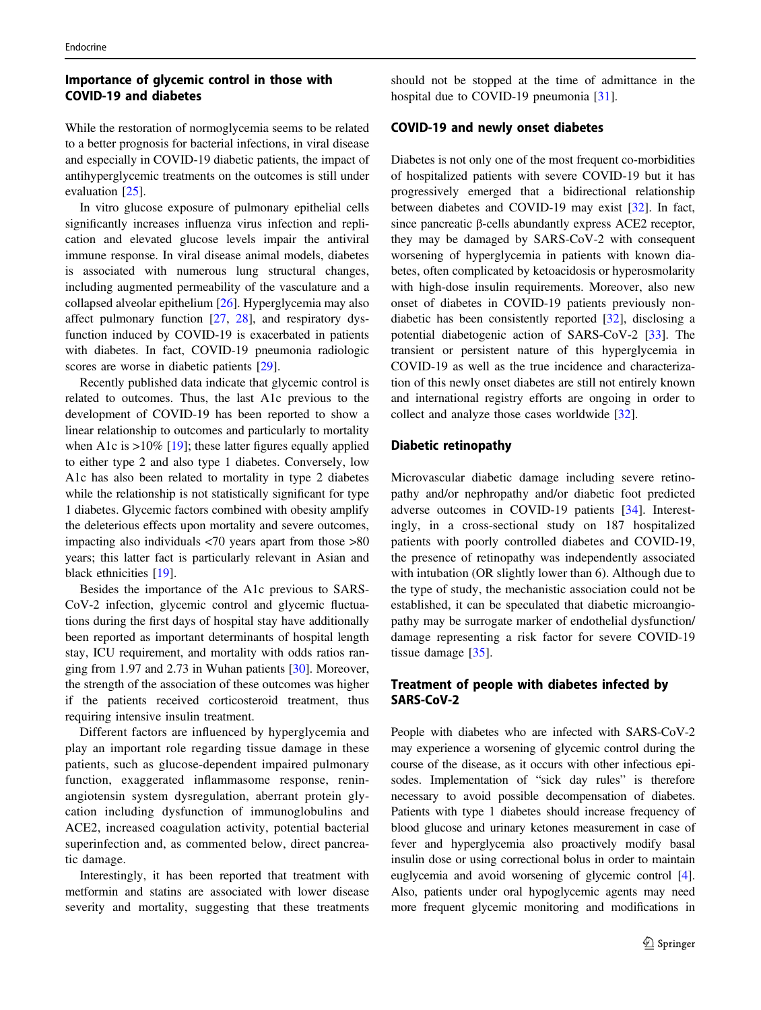# Importance of glycemic control in those with COVID-19 and diabetes

While the restoration of normoglycemia seems to be related to a better prognosis for bacterial infections, in viral disease and especially in COVID-19 diabetic patients, the impact of antihyperglycemic treatments on the outcomes is still under evaluation [[25\]](#page-11-0).

In vitro glucose exposure of pulmonary epithelial cells significantly increases influenza virus infection and replication and elevated glucose levels impair the antiviral immune response. In viral disease animal models, diabetes is associated with numerous lung structural changes, including augmented permeability of the vasculature and a collapsed alveolar epithelium [[26](#page-11-0)]. Hyperglycemia may also affect pulmonary function [\[27](#page-11-0), [28\]](#page-11-0), and respiratory dysfunction induced by COVID-19 is exacerbated in patients with diabetes. In fact, COVID-19 pneumonia radiologic scores are worse in diabetic patients [[29\]](#page-11-0).

Recently published data indicate that glycemic control is related to outcomes. Thus, the last A1c previous to the development of COVID-19 has been reported to show a linear relationship to outcomes and particularly to mortality when A1c is  $>10\%$  [[19\]](#page-11-0); these latter figures equally applied to either type 2 and also type 1 diabetes. Conversely, low A1c has also been related to mortality in type 2 diabetes while the relationship is not statistically significant for type 1 diabetes. Glycemic factors combined with obesity amplify the deleterious effects upon mortality and severe outcomes, impacting also individuals <70 years apart from those >80 years; this latter fact is particularly relevant in Asian and black ethnicities [[19\]](#page-11-0).

Besides the importance of the A1c previous to SARS-CoV-2 infection, glycemic control and glycemic fluctuations during the first days of hospital stay have additionally been reported as important determinants of hospital length stay, ICU requirement, and mortality with odds ratios ranging from 1.97 and 2.73 in Wuhan patients [\[30](#page-11-0)]. Moreover, the strength of the association of these outcomes was higher if the patients received corticosteroid treatment, thus requiring intensive insulin treatment.

Different factors are influenced by hyperglycemia and play an important role regarding tissue damage in these patients, such as glucose-dependent impaired pulmonary function, exaggerated inflammasome response, reninangiotensin system dysregulation, aberrant protein glycation including dysfunction of immunoglobulins and ACE2, increased coagulation activity, potential bacterial superinfection and, as commented below, direct pancreatic damage.

Interestingly, it has been reported that treatment with metformin and statins are associated with lower disease severity and mortality, suggesting that these treatments

should not be stopped at the time of admittance in the hospital due to COVID-19 pneumonia [[31\]](#page-11-0).

### COVID-19 and newly onset diabetes

Diabetes is not only one of the most frequent co-morbidities of hospitalized patients with severe COVID-19 but it has progressively emerged that a bidirectional relationship between diabetes and COVID-19 may exist [[32\]](#page-11-0). In fact, since pancreatic β-cells abundantly express ACE2 receptor, they may be damaged by SARS-CoV-2 with consequent worsening of hyperglycemia in patients with known diabetes, often complicated by ketoacidosis or hyperosmolarity with high-dose insulin requirements. Moreover, also new onset of diabetes in COVID-19 patients previously nondiabetic has been consistently reported [\[32](#page-11-0)], disclosing a potential diabetogenic action of SARS-CoV-2 [[33\]](#page-11-0). The transient or persistent nature of this hyperglycemia in COVID-19 as well as the true incidence and characterization of this newly onset diabetes are still not entirely known and international registry efforts are ongoing in order to collect and analyze those cases worldwide [[32\]](#page-11-0).

### Diabetic retinopathy

Microvascular diabetic damage including severe retinopathy and/or nephropathy and/or diabetic foot predicted adverse outcomes in COVID-19 patients [[34\]](#page-11-0). Interestingly, in a cross-sectional study on 187 hospitalized patients with poorly controlled diabetes and COVID-19, the presence of retinopathy was independently associated with intubation (OR slightly lower than 6). Although due to the type of study, the mechanistic association could not be established, it can be speculated that diabetic microangiopathy may be surrogate marker of endothelial dysfunction/ damage representing a risk factor for severe COVID-19 tissue damage [[35](#page-11-0)].

### Treatment of people with diabetes infected by SARS-CoV-2

People with diabetes who are infected with SARS-CoV-2 may experience a worsening of glycemic control during the course of the disease, as it occurs with other infectious episodes. Implementation of "sick day rules" is therefore necessary to avoid possible decompensation of diabetes. Patients with type 1 diabetes should increase frequency of blood glucose and urinary ketones measurement in case of fever and hyperglycemia also proactively modify basal insulin dose or using correctional bolus in order to maintain euglycemia and avoid worsening of glycemic control [[4\]](#page-10-0). Also, patients under oral hypoglycemic agents may need more frequent glycemic monitoring and modifications in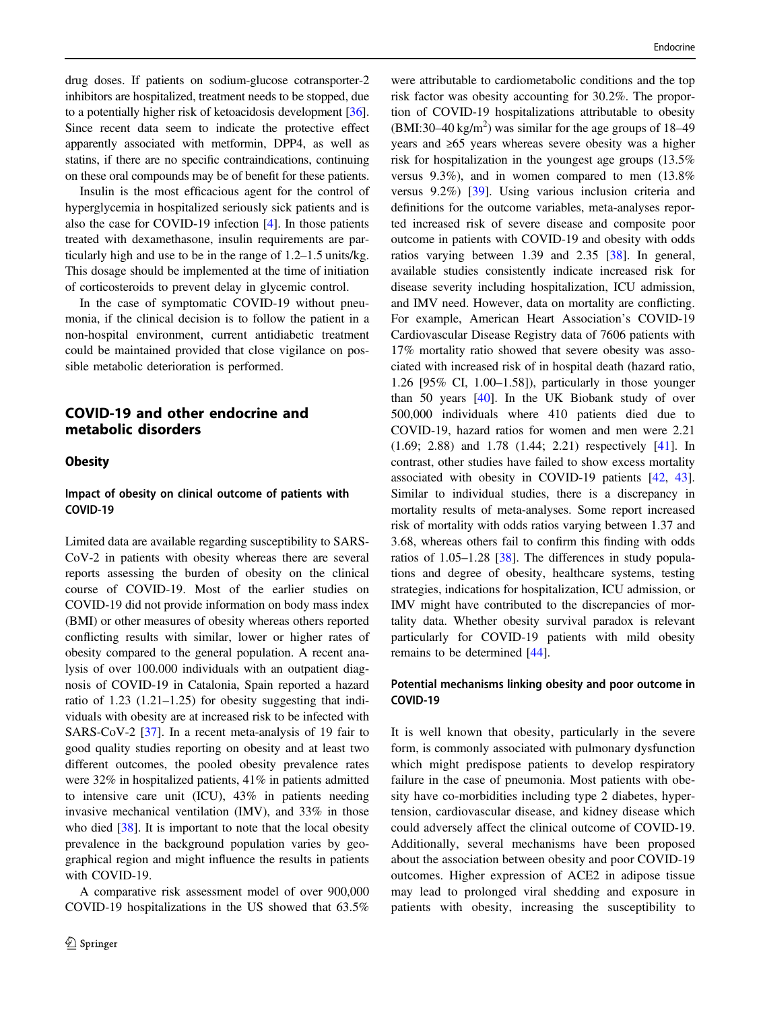drug doses. If patients on sodium-glucose cotransporter-2 inhibitors are hospitalized, treatment needs to be stopped, due to a potentially higher risk of ketoacidosis development [[36\]](#page-11-0). Since recent data seem to indicate the protective effect apparently associated with metformin, DPP4, as well as statins, if there are no specific contraindications, continuing on these oral compounds may be of benefit for these patients.

Insulin is the most efficacious agent for the control of hyperglycemia in hospitalized seriously sick patients and is also the case for COVID-19 infection [\[4](#page-10-0)]. In those patients treated with dexamethasone, insulin requirements are particularly high and use to be in the range of 1.2–1.5 units/kg. This dosage should be implemented at the time of initiation of corticosteroids to prevent delay in glycemic control.

In the case of symptomatic COVID-19 without pneumonia, if the clinical decision is to follow the patient in a non-hospital environment, current antidiabetic treatment could be maintained provided that close vigilance on possible metabolic deterioration is performed.

# COVID-19 and other endocrine and metabolic disorders

### **Obesity**

### Impact of obesity on clinical outcome of patients with COVID-19

Limited data are available regarding susceptibility to SARS-CoV-2 in patients with obesity whereas there are several reports assessing the burden of obesity on the clinical course of COVID-19. Most of the earlier studies on COVID-19 did not provide information on body mass index (BMI) or other measures of obesity whereas others reported conflicting results with similar, lower or higher rates of obesity compared to the general population. A recent analysis of over 100.000 individuals with an outpatient diagnosis of COVID-19 in Catalonia, Spain reported a hazard ratio of 1.23 (1.21–1.25) for obesity suggesting that individuals with obesity are at increased risk to be infected with SARS-CoV-2 [\[37](#page-11-0)]. In a recent meta-analysis of 19 fair to good quality studies reporting on obesity and at least two different outcomes, the pooled obesity prevalence rates were 32% in hospitalized patients, 41% in patients admitted to intensive care unit (ICU), 43% in patients needing invasive mechanical ventilation (IMV), and 33% in those who died [[38\]](#page-11-0). It is important to note that the local obesity prevalence in the background population varies by geographical region and might influence the results in patients with COVID-19.

A comparative risk assessment model of over 900,000 COVID-19 hospitalizations in the US showed that 63.5%

were attributable to cardiometabolic conditions and the top risk factor was obesity accounting for 30.2%. The proportion of COVID-19 hospitalizations attributable to obesity  $(BMI:30-40 \text{ kg/m}^2)$  was similar for the age groups of 18-49 years and ≥65 years whereas severe obesity was a higher risk for hospitalization in the youngest age groups (13.5% versus 9.3%), and in women compared to men (13.8% versus 9.2%) [[39\]](#page-11-0). Using various inclusion criteria and definitions for the outcome variables, meta-analyses reported increased risk of severe disease and composite poor outcome in patients with COVID-19 and obesity with odds ratios varying between 1.39 and 2.35 [[38\]](#page-11-0). In general, available studies consistently indicate increased risk for disease severity including hospitalization, ICU admission, and IMV need. However, data on mortality are conflicting. For example, American Heart Association's COVID-19 Cardiovascular Disease Registry data of 7606 patients with 17% mortality ratio showed that severe obesity was associated with increased risk of in hospital death (hazard ratio, 1.26 [95% CI, 1.00–1.58]), particularly in those younger than 50 years [[40\]](#page-12-0). In the UK Biobank study of over 500,000 individuals where 410 patients died due to COVID-19, hazard ratios for women and men were 2.21 (1.69; 2.88) and 1.78 (1.44; 2.21) respectively [[41\]](#page-12-0). In contrast, other studies have failed to show excess mortality associated with obesity in COVID-19 patients [[42,](#page-12-0) [43\]](#page-12-0). Similar to individual studies, there is a discrepancy in mortality results of meta-analyses. Some report increased risk of mortality with odds ratios varying between 1.37 and 3.68, whereas others fail to confirm this finding with odds ratios of 1.05–1.28 [[38\]](#page-11-0). The differences in study populations and degree of obesity, healthcare systems, testing strategies, indications for hospitalization, ICU admission, or IMV might have contributed to the discrepancies of mortality data. Whether obesity survival paradox is relevant particularly for COVID-19 patients with mild obesity remains to be determined [\[44](#page-12-0)].

#### Potential mechanisms linking obesity and poor outcome in COVID-19

It is well known that obesity, particularly in the severe form, is commonly associated with pulmonary dysfunction which might predispose patients to develop respiratory failure in the case of pneumonia. Most patients with obesity have co-morbidities including type 2 diabetes, hypertension, cardiovascular disease, and kidney disease which could adversely affect the clinical outcome of COVID-19. Additionally, several mechanisms have been proposed about the association between obesity and poor COVID-19 outcomes. Higher expression of ACE2 in adipose tissue may lead to prolonged viral shedding and exposure in patients with obesity, increasing the susceptibility to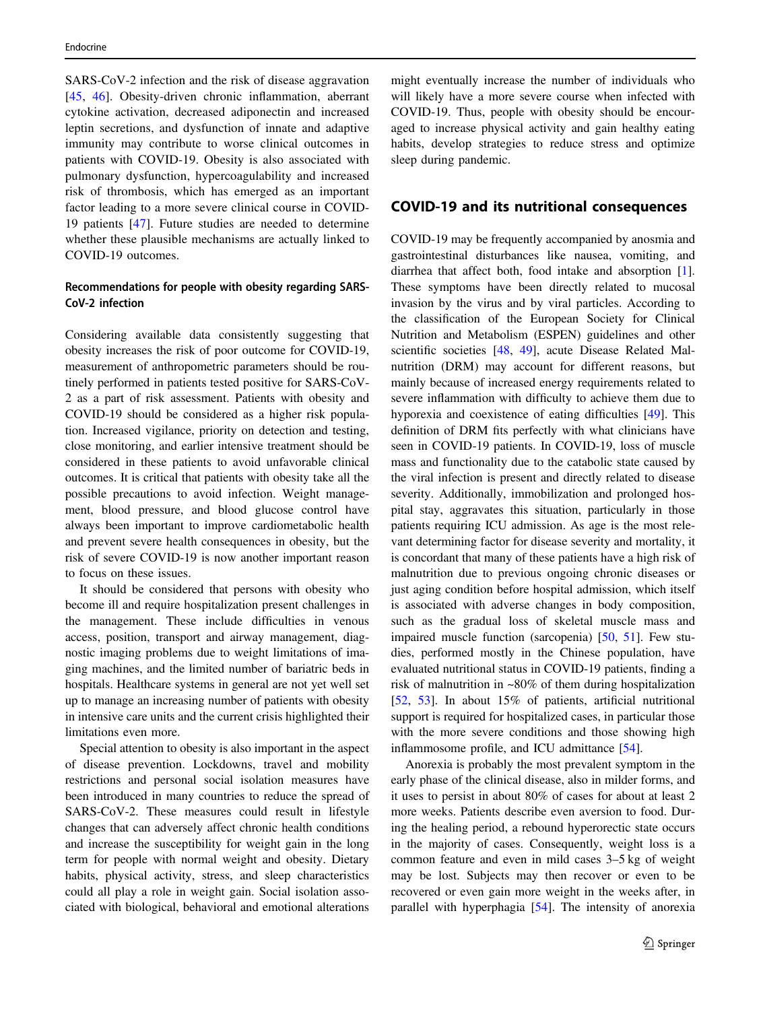SARS-CoV-2 infection and the risk of disease aggravation [\[45](#page-12-0), [46\]](#page-12-0). Obesity-driven chronic inflammation, aberrant cytokine activation, decreased adiponectin and increased leptin secretions, and dysfunction of innate and adaptive immunity may contribute to worse clinical outcomes in patients with COVID-19. Obesity is also associated with pulmonary dysfunction, hypercoagulability and increased risk of thrombosis, which has emerged as an important factor leading to a more severe clinical course in COVID-19 patients [\[47\]](#page-12-0). Future studies are needed to determine whether these plausible mechanisms are actually linked to COVID-19 outcomes.

### Recommendations for people with obesity regarding SARS-CoV-2 infection

Considering available data consistently suggesting that obesity increases the risk of poor outcome for COVID-19, measurement of anthropometric parameters should be routinely performed in patients tested positive for SARS-CoV-2 as a part of risk assessment. Patients with obesity and COVID-19 should be considered as a higher risk population. Increased vigilance, priority on detection and testing, close monitoring, and earlier intensive treatment should be considered in these patients to avoid unfavorable clinical outcomes. It is critical that patients with obesity take all the possible precautions to avoid infection. Weight management, blood pressure, and blood glucose control have always been important to improve cardiometabolic health and prevent severe health consequences in obesity, but the risk of severe COVID-19 is now another important reason to focus on these issues.

It should be considered that persons with obesity who become ill and require hospitalization present challenges in the management. These include difficulties in venous access, position, transport and airway management, diagnostic imaging problems due to weight limitations of imaging machines, and the limited number of bariatric beds in hospitals. Healthcare systems in general are not yet well set up to manage an increasing number of patients with obesity in intensive care units and the current crisis highlighted their limitations even more.

Special attention to obesity is also important in the aspect of disease prevention. Lockdowns, travel and mobility restrictions and personal social isolation measures have been introduced in many countries to reduce the spread of SARS-CoV-2. These measures could result in lifestyle changes that can adversely affect chronic health conditions and increase the susceptibility for weight gain in the long term for people with normal weight and obesity. Dietary habits, physical activity, stress, and sleep characteristics could all play a role in weight gain. Social isolation associated with biological, behavioral and emotional alterations

might eventually increase the number of individuals who will likely have a more severe course when infected with COVID-19. Thus, people with obesity should be encouraged to increase physical activity and gain healthy eating habits, develop strategies to reduce stress and optimize sleep during pandemic.

### COVID-19 and its nutritional consequences

COVID-19 may be frequently accompanied by anosmia and gastrointestinal disturbances like nausea, vomiting, and diarrhea that affect both, food intake and absorption [[1\]](#page-10-0). These symptoms have been directly related to mucosal invasion by the virus and by viral particles. According to the classification of the European Society for Clinical Nutrition and Metabolism (ESPEN) guidelines and other scientific societies [\[48](#page-12-0), [49\]](#page-12-0), acute Disease Related Malnutrition (DRM) may account for different reasons, but mainly because of increased energy requirements related to severe inflammation with difficulty to achieve them due to hyporexia and coexistence of eating difficulties [\[49](#page-12-0)]. This definition of DRM fits perfectly with what clinicians have seen in COVID-19 patients. In COVID-19, loss of muscle mass and functionality due to the catabolic state caused by the viral infection is present and directly related to disease severity. Additionally, immobilization and prolonged hospital stay, aggravates this situation, particularly in those patients requiring ICU admission. As age is the most relevant determining factor for disease severity and mortality, it is concordant that many of these patients have a high risk of malnutrition due to previous ongoing chronic diseases or just aging condition before hospital admission, which itself is associated with adverse changes in body composition, such as the gradual loss of skeletal muscle mass and impaired muscle function (sarcopenia) [\[50](#page-12-0), [51](#page-12-0)]. Few studies, performed mostly in the Chinese population, have evaluated nutritional status in COVID-19 patients, finding a risk of malnutrition in ~80% of them during hospitalization [\[52](#page-12-0), [53](#page-12-0)]. In about 15% of patients, artificial nutritional support is required for hospitalized cases, in particular those with the more severe conditions and those showing high inflammosome profile, and ICU admittance [[54\]](#page-12-0).

Anorexia is probably the most prevalent symptom in the early phase of the clinical disease, also in milder forms, and it uses to persist in about 80% of cases for about at least 2 more weeks. Patients describe even aversion to food. During the healing period, a rebound hyperorectic state occurs in the majority of cases. Consequently, weight loss is a common feature and even in mild cases 3–5 kg of weight may be lost. Subjects may then recover or even to be recovered or even gain more weight in the weeks after, in parallel with hyperphagia [[54\]](#page-12-0). The intensity of anorexia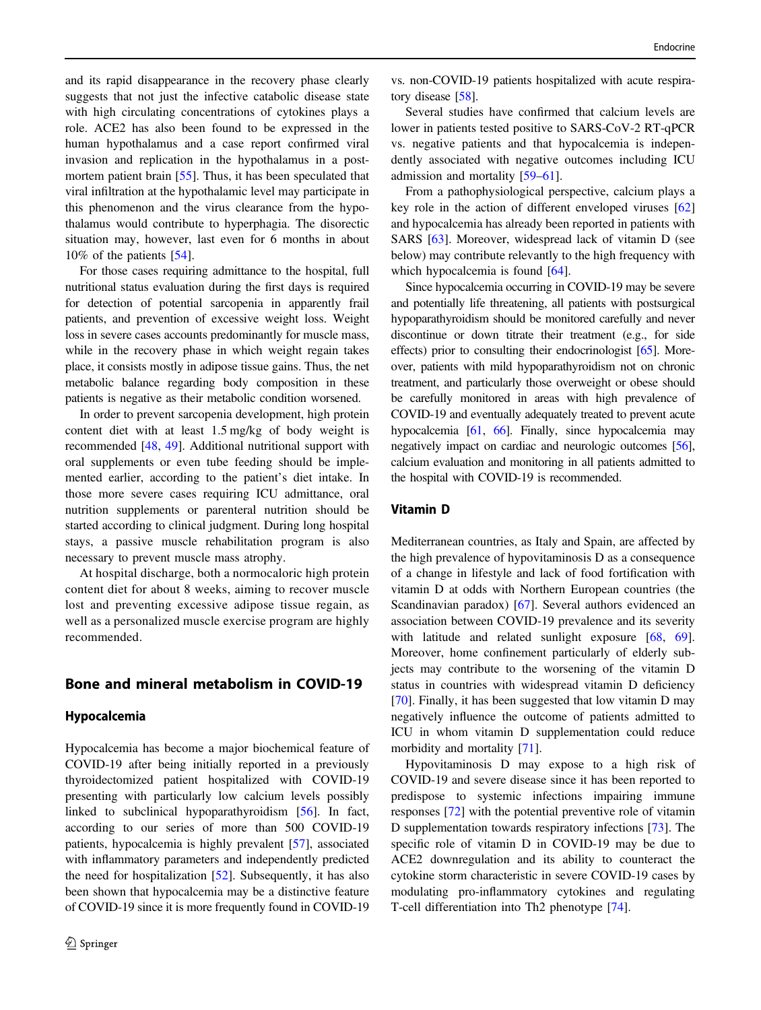and its rapid disappearance in the recovery phase clearly suggests that not just the infective catabolic disease state with high circulating concentrations of cytokines plays a role. ACE2 has also been found to be expressed in the human hypothalamus and a case report confirmed viral invasion and replication in the hypothalamus in a post-mortem patient brain [\[55](#page-12-0)]. Thus, it has been speculated that viral infiltration at the hypothalamic level may participate in this phenomenon and the virus clearance from the hypothalamus would contribute to hyperphagia. The disorectic situation may, however, last even for 6 months in about 10% of the patients [[54\]](#page-12-0).

For those cases requiring admittance to the hospital, full nutritional status evaluation during the first days is required for detection of potential sarcopenia in apparently frail patients, and prevention of excessive weight loss. Weight loss in severe cases accounts predominantly for muscle mass, while in the recovery phase in which weight regain takes place, it consists mostly in adipose tissue gains. Thus, the net metabolic balance regarding body composition in these patients is negative as their metabolic condition worsened.

In order to prevent sarcopenia development, high protein content diet with at least 1.5 mg/kg of body weight is recommended [[48,](#page-12-0) [49](#page-12-0)]. Additional nutritional support with oral supplements or even tube feeding should be implemented earlier, according to the patient's diet intake. In those more severe cases requiring ICU admittance, oral nutrition supplements or parenteral nutrition should be started according to clinical judgment. During long hospital stays, a passive muscle rehabilitation program is also necessary to prevent muscle mass atrophy.

At hospital discharge, both a normocaloric high protein content diet for about 8 weeks, aiming to recover muscle lost and preventing excessive adipose tissue regain, as well as a personalized muscle exercise program are highly recommended.

# Bone and mineral metabolism in COVID-19

#### Hypocalcemia

Hypocalcemia has become a major biochemical feature of COVID-19 after being initially reported in a previously thyroidectomized patient hospitalized with COVID-19 presenting with particularly low calcium levels possibly linked to subclinical hypoparathyroidism [\[56](#page-12-0)]. In fact, according to our series of more than 500 COVID-19 patients, hypocalcemia is highly prevalent [\[57](#page-12-0)], associated with inflammatory parameters and independently predicted the need for hospitalization [[52\]](#page-12-0). Subsequently, it has also been shown that hypocalcemia may be a distinctive feature of COVID-19 since it is more frequently found in COVID-19

vs. non-COVID-19 patients hospitalized with acute respiratory disease [\[58](#page-12-0)].

Several studies have confirmed that calcium levels are lower in patients tested positive to SARS-CoV-2 RT-qPCR vs. negative patients and that hypocalcemia is independently associated with negative outcomes including ICU admission and mortality [[59](#page-12-0)–[61\]](#page-12-0).

From a pathophysiological perspective, calcium plays a key role in the action of different enveloped viruses [\[62](#page-12-0)] and hypocalcemia has already been reported in patients with SARS [[63\]](#page-12-0). Moreover, widespread lack of vitamin D (see below) may contribute relevantly to the high frequency with which hypocalcemia is found [\[64](#page-12-0)].

Since hypocalcemia occurring in COVID-19 may be severe and potentially life threatening, all patients with postsurgical hypoparathyroidism should be monitored carefully and never discontinue or down titrate their treatment (e.g., for side effects) prior to consulting their endocrinologist [\[65](#page-12-0)]. Moreover, patients with mild hypoparathyroidism not on chronic treatment, and particularly those overweight or obese should be carefully monitored in areas with high prevalence of COVID-19 and eventually adequately treated to prevent acute hypocalcemia [\[61,](#page-12-0) [66](#page-12-0)]. Finally, since hypocalcemia may negatively impact on cardiac and neurologic outcomes [\[56\]](#page-12-0), calcium evaluation and monitoring in all patients admitted to the hospital with COVID-19 is recommended.

### Vitamin D

Mediterranean countries, as Italy and Spain, are affected by the high prevalence of hypovitaminosis D as a consequence of a change in lifestyle and lack of food fortification with vitamin D at odds with Northern European countries (the Scandinavian paradox) [\[67](#page-12-0)]. Several authors evidenced an association between COVID-19 prevalence and its severity with latitude and related sunlight exposure [[68,](#page-12-0) [69\]](#page-12-0). Moreover, home confinement particularly of elderly subjects may contribute to the worsening of the vitamin D status in countries with widespread vitamin D deficiency [\[70](#page-12-0)]. Finally, it has been suggested that low vitamin D may negatively influence the outcome of patients admitted to ICU in whom vitamin D supplementation could reduce morbidity and mortality [[71\]](#page-13-0).

Hypovitaminosis D may expose to a high risk of COVID-19 and severe disease since it has been reported to predispose to systemic infections impairing immune responses [[72\]](#page-13-0) with the potential preventive role of vitamin D supplementation towards respiratory infections [\[73](#page-13-0)]. The specific role of vitamin D in COVID-19 may be due to ACE2 downregulation and its ability to counteract the cytokine storm characteristic in severe COVID-19 cases by modulating pro-inflammatory cytokines and regulating T-cell differentiation into Th2 phenotype [\[74](#page-13-0)].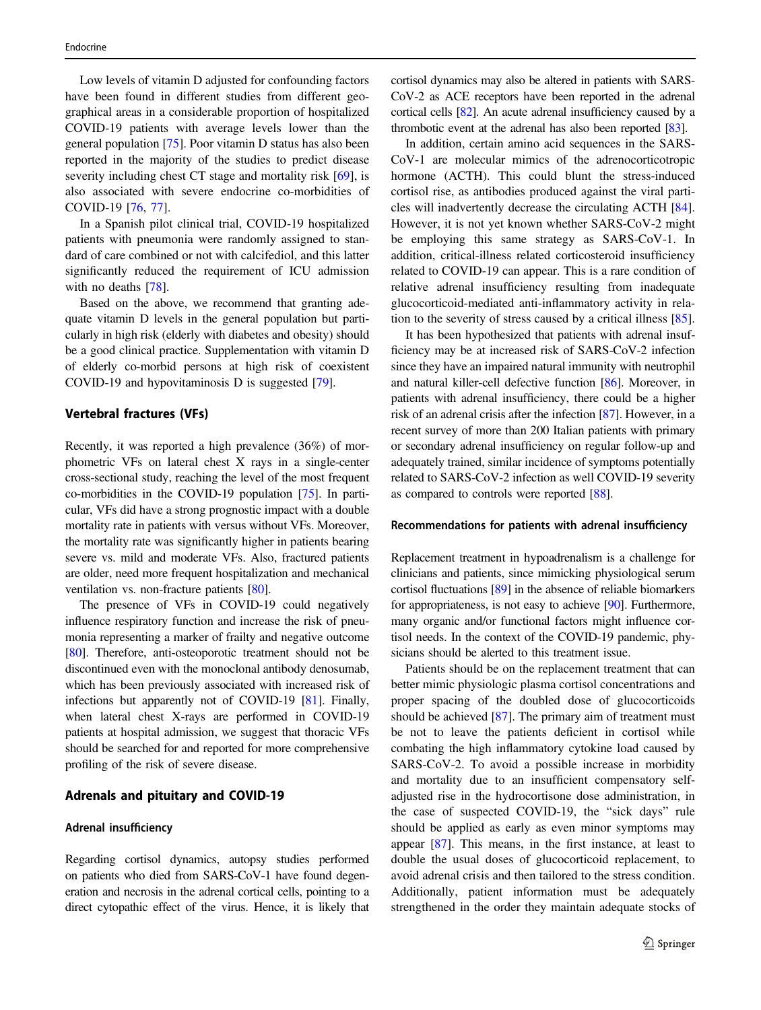Low levels of vitamin D adjusted for confounding factors have been found in different studies from different geographical areas in a considerable proportion of hospitalized COVID-19 patients with average levels lower than the general population [\[75](#page-13-0)]. Poor vitamin D status has also been reported in the majority of the studies to predict disease severity including chest CT stage and mortality risk [\[69\]](#page-12-0), is also associated with severe endocrine co-morbidities of COVID-19 [\[76](#page-13-0), [77\]](#page-13-0).

In a Spanish pilot clinical trial, COVID-19 hospitalized patients with pneumonia were randomly assigned to standard of care combined or not with calcifediol, and this latter significantly reduced the requirement of ICU admission with no deaths [[78\]](#page-13-0).

Based on the above, we recommend that granting adequate vitamin D levels in the general population but particularly in high risk (elderly with diabetes and obesity) should be a good clinical practice. Supplementation with vitamin D of elderly co-morbid persons at high risk of coexistent COVID-19 and hypovitaminosis D is suggested [[79](#page-13-0)].

#### Vertebral fractures (VFs)

Recently, it was reported a high prevalence (36%) of morphometric VFs on lateral chest X rays in a single-center cross-sectional study, reaching the level of the most frequent co-morbidities in the COVID-19 population [\[75](#page-13-0)]. In particular, VFs did have a strong prognostic impact with a double mortality rate in patients with versus without VFs. Moreover, the mortality rate was significantly higher in patients bearing severe vs. mild and moderate VFs. Also, fractured patients are older, need more frequent hospitalization and mechanical ventilation vs. non-fracture patients [\[80\]](#page-13-0).

The presence of VFs in COVID-19 could negatively influence respiratory function and increase the risk of pneumonia representing a marker of frailty and negative outcome [\[80\]](#page-13-0). Therefore, anti-osteoporotic treatment should not be discontinued even with the monoclonal antibody denosumab, which has been previously associated with increased risk of infections but apparently not of COVID-19 [\[81\]](#page-13-0). Finally, when lateral chest X-rays are performed in COVID-19 patients at hospital admission, we suggest that thoracic VFs should be searched for and reported for more comprehensive profiling of the risk of severe disease.

#### Adrenals and pituitary and COVID-19

#### Adrenal insufficiency

Regarding cortisol dynamics, autopsy studies performed on patients who died from SARS-CoV-1 have found degeneration and necrosis in the adrenal cortical cells, pointing to a direct cytopathic effect of the virus. Hence, it is likely that cortisol dynamics may also be altered in patients with SARS-CoV-2 as ACE receptors have been reported in the adrenal cortical cells [\[82\]](#page-13-0). An acute adrenal insufficiency caused by a thrombotic event at the adrenal has also been reported [[83](#page-13-0)].

In addition, certain amino acid sequences in the SARS-CoV-1 are molecular mimics of the adrenocorticotropic hormone (ACTH). This could blunt the stress-induced cortisol rise, as antibodies produced against the viral particles will inadvertently decrease the circulating ACTH [[84\]](#page-13-0). However, it is not yet known whether SARS-CoV-2 might be employing this same strategy as SARS-CoV-1. In addition, critical-illness related corticosteroid insufficiency related to COVID-19 can appear. This is a rare condition of relative adrenal insufficiency resulting from inadequate glucocorticoid-mediated anti-inflammatory activity in relation to the severity of stress caused by a critical illness [[85\]](#page-13-0).

It has been hypothesized that patients with adrenal insufficiency may be at increased risk of SARS-CoV-2 infection since they have an impaired natural immunity with neutrophil and natural killer-cell defective function [\[86\]](#page-13-0). Moreover, in patients with adrenal insufficiency, there could be a higher risk of an adrenal crisis after the infection [[87\]](#page-13-0). However, in a recent survey of more than 200 Italian patients with primary or secondary adrenal insufficiency on regular follow-up and adequately trained, similar incidence of symptoms potentially related to SARS-CoV-2 infection as well COVID-19 severity as compared to controls were reported [[88\]](#page-13-0).

#### Recommendations for patients with adrenal insufficiency

Replacement treatment in hypoadrenalism is a challenge for clinicians and patients, since mimicking physiological serum cortisol fluctuations [\[89](#page-13-0)] in the absence of reliable biomarkers for appropriateness, is not easy to achieve [\[90\]](#page-13-0). Furthermore, many organic and/or functional factors might influence cortisol needs. In the context of the COVID-19 pandemic, physicians should be alerted to this treatment issue.

Patients should be on the replacement treatment that can better mimic physiologic plasma cortisol concentrations and proper spacing of the doubled dose of glucocorticoids should be achieved [[87\]](#page-13-0). The primary aim of treatment must be not to leave the patients deficient in cortisol while combating the high inflammatory cytokine load caused by SARS-CoV-2. To avoid a possible increase in morbidity and mortality due to an insufficient compensatory selfadjusted rise in the hydrocortisone dose administration, in the case of suspected COVID-19, the "sick days" rule should be applied as early as even minor symptoms may appear [\[87](#page-13-0)]. This means, in the first instance, at least to double the usual doses of glucocorticoid replacement, to avoid adrenal crisis and then tailored to the stress condition. Additionally, patient information must be adequately strengthened in the order they maintain adequate stocks of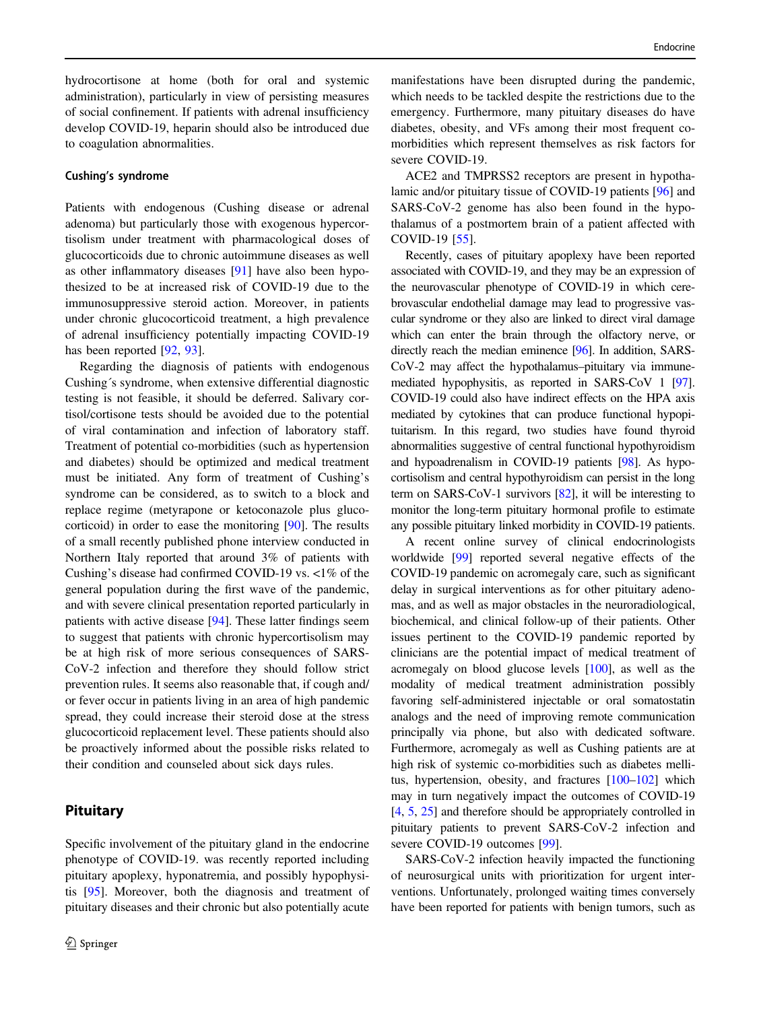hydrocortisone at home (both for oral and systemic administration), particularly in view of persisting measures of social confinement. If patients with adrenal insufficiency develop COVID-19, heparin should also be introduced due to coagulation abnormalities.

#### Cushing's syndrome

Patients with endogenous (Cushing disease or adrenal adenoma) but particularly those with exogenous hypercortisolism under treatment with pharmacological doses of glucocorticoids due to chronic autoimmune diseases as well as other inflammatory diseases [[91\]](#page-13-0) have also been hypothesized to be at increased risk of COVID-19 due to the immunosuppressive steroid action. Moreover, in patients under chronic glucocorticoid treatment, a high prevalence of adrenal insufficiency potentially impacting COVID-19 has been reported [[92,](#page-13-0) [93\]](#page-13-0).

Regarding the diagnosis of patients with endogenous Cushing´s syndrome, when extensive differential diagnostic testing is not feasible, it should be deferred. Salivary cortisol/cortisone tests should be avoided due to the potential of viral contamination and infection of laboratory staff. Treatment of potential co-morbidities (such as hypertension and diabetes) should be optimized and medical treatment must be initiated. Any form of treatment of Cushing's syndrome can be considered, as to switch to a block and replace regime (metyrapone or ketoconazole plus glucocorticoid) in order to ease the monitoring [[90\]](#page-13-0). The results of a small recently published phone interview conducted in Northern Italy reported that around 3% of patients with Cushing's disease had confirmed COVID-19 vs. <1% of the general population during the first wave of the pandemic, and with severe clinical presentation reported particularly in patients with active disease [[94\]](#page-13-0). These latter findings seem to suggest that patients with chronic hypercortisolism may be at high risk of more serious consequences of SARS-CoV-2 infection and therefore they should follow strict prevention rules. It seems also reasonable that, if cough and/ or fever occur in patients living in an area of high pandemic spread, they could increase their steroid dose at the stress glucocorticoid replacement level. These patients should also be proactively informed about the possible risks related to their condition and counseled about sick days rules.

# **Pituitary**

Specific involvement of the pituitary gland in the endocrine phenotype of COVID-19. was recently reported including pituitary apoplexy, hyponatremia, and possibly hypophysitis [[95\]](#page-13-0). Moreover, both the diagnosis and treatment of pituitary diseases and their chronic but also potentially acute

manifestations have been disrupted during the pandemic, which needs to be tackled despite the restrictions due to the emergency. Furthermore, many pituitary diseases do have diabetes, obesity, and VFs among their most frequent comorbidities which represent themselves as risk factors for severe COVID-19.

ACE2 and TMPRSS2 receptors are present in hypothalamic and/or pituitary tissue of COVID-19 patients [\[96](#page-13-0)] and SARS-CoV-2 genome has also been found in the hypothalamus of a postmortem brain of a patient affected with COVID-19 [\[55](#page-12-0)].

Recently, cases of pituitary apoplexy have been reported associated with COVID-19, and they may be an expression of the neurovascular phenotype of COVID-19 in which cerebrovascular endothelial damage may lead to progressive vascular syndrome or they also are linked to direct viral damage which can enter the brain through the olfactory nerve, or directly reach the median eminence [\[96](#page-13-0)]. In addition, SARS-CoV-2 may affect the hypothalamus–pituitary via immunemediated hypophysitis, as reported in SARS-CoV 1 [\[97\]](#page-13-0). COVID-19 could also have indirect effects on the HPA axis mediated by cytokines that can produce functional hypopituitarism. In this regard, two studies have found thyroid abnormalities suggestive of central functional hypothyroidism and hypoadrenalism in COVID-19 patients [[98](#page-13-0)]. As hypocortisolism and central hypothyroidism can persist in the long term on SARS-CoV-1 survivors [\[82](#page-13-0)], it will be interesting to monitor the long-term pituitary hormonal profile to estimate any possible pituitary linked morbidity in COVID-19 patients.

A recent online survey of clinical endocrinologists worldwide [[99\]](#page-13-0) reported several negative effects of the COVID-19 pandemic on acromegaly care, such as significant delay in surgical interventions as for other pituitary adenomas, and as well as major obstacles in the neuroradiological, biochemical, and clinical follow-up of their patients. Other issues pertinent to the COVID-19 pandemic reported by clinicians are the potential impact of medical treatment of acromegaly on blood glucose levels [\[100\]](#page-14-0), as well as the modality of medical treatment administration possibly favoring self-administered injectable or oral somatostatin analogs and the need of improving remote communication principally via phone, but also with dedicated software. Furthermore, acromegaly as well as Cushing patients are at high risk of systemic co-morbidities such as diabetes mellitus, hypertension, obesity, and fractures [\[100](#page-14-0)–[102](#page-14-0)] which may in turn negatively impact the outcomes of COVID-19 [\[4](#page-10-0), [5](#page-10-0), [25](#page-11-0)] and therefore should be appropriately controlled in pituitary patients to prevent SARS-CoV-2 infection and severe COVID-19 outcomes [[99\]](#page-13-0).

SARS-CoV-2 infection heavily impacted the functioning of neurosurgical units with prioritization for urgent interventions. Unfortunately, prolonged waiting times conversely have been reported for patients with benign tumors, such as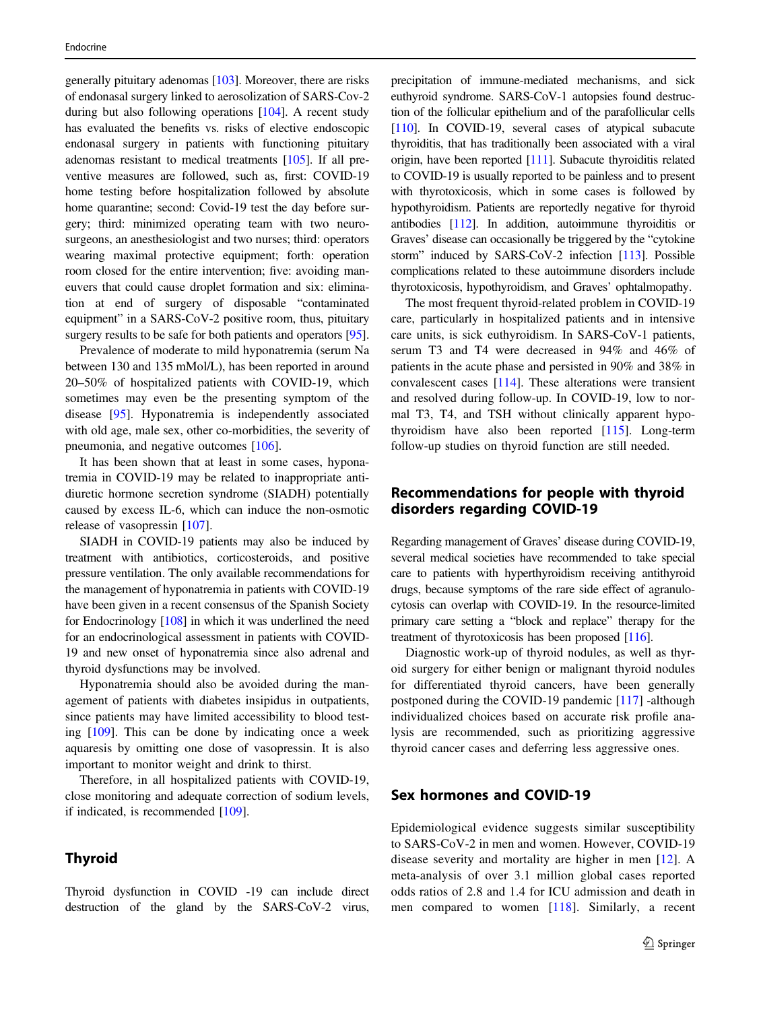generally pituitary adenomas [\[103\]](#page-14-0). Moreover, there are risks of endonasal surgery linked to aerosolization of SARS-Cov-2 during but also following operations [\[104\]](#page-14-0). A recent study has evaluated the benefits vs. risks of elective endoscopic endonasal surgery in patients with functioning pituitary adenomas resistant to medical treatments [[105](#page-14-0)]. If all preventive measures are followed, such as, first: COVID-19 home testing before hospitalization followed by absolute home quarantine; second: Covid-19 test the day before surgery; third: minimized operating team with two neurosurgeons, an anesthesiologist and two nurses; third: operators wearing maximal protective equipment; forth: operation room closed for the entire intervention; five: avoiding maneuvers that could cause droplet formation and six: elimination at end of surgery of disposable "contaminated equipment" in a SARS-CoV-2 positive room, thus, pituitary surgery results to be safe for both patients and operators [[95\]](#page-13-0).

Prevalence of moderate to mild hyponatremia (serum Na between 130 and 135 mMol/L), has been reported in around 20–50% of hospitalized patients with COVID-19, which sometimes may even be the presenting symptom of the disease [[95\]](#page-13-0). Hyponatremia is independently associated with old age, male sex, other co-morbidities, the severity of pneumonia, and negative outcomes [[106\]](#page-14-0).

It has been shown that at least in some cases, hyponatremia in COVID-19 may be related to inappropriate antidiuretic hormone secretion syndrome (SIADH) potentially caused by excess IL-6, which can induce the non-osmotic release of vasopressin [[107\]](#page-14-0).

SIADH in COVID-19 patients may also be induced by treatment with antibiotics, corticosteroids, and positive pressure ventilation. The only available recommendations for the management of hyponatremia in patients with COVID-19 have been given in a recent consensus of the Spanish Society for Endocrinology [[108](#page-14-0)] in which it was underlined the need for an endocrinological assessment in patients with COVID-19 and new onset of hyponatremia since also adrenal and thyroid dysfunctions may be involved.

Hyponatremia should also be avoided during the management of patients with diabetes insipidus in outpatients, since patients may have limited accessibility to blood testing [[109\]](#page-14-0). This can be done by indicating once a week aquaresis by omitting one dose of vasopressin. It is also important to monitor weight and drink to thirst.

Therefore, in all hospitalized patients with COVID-19, close monitoring and adequate correction of sodium levels, if indicated, is recommended [[109\]](#page-14-0).

# Thyroid

Thyroid dysfunction in COVID -19 can include direct destruction of the gland by the SARS-CoV-2 virus,

precipitation of immune-mediated mechanisms, and sick euthyroid syndrome. SARS-CoV-1 autopsies found destruction of the follicular epithelium and of the parafollicular cells [\[110\]](#page-14-0). In COVID-19, several cases of atypical subacute thyroiditis, that has traditionally been associated with a viral origin, have been reported [\[111\]](#page-14-0). Subacute thyroiditis related to COVID-19 is usually reported to be painless and to present with thyrotoxicosis, which in some cases is followed by hypothyroidism. Patients are reportedly negative for thyroid antibodies [\[112](#page-14-0)]. In addition, autoimmune thyroiditis or Graves' disease can occasionally be triggered by the "cytokine storm" induced by SARS-CoV-2 infection [[113\]](#page-14-0). Possible complications related to these autoimmune disorders include thyrotoxicosis, hypothyroidism, and Graves' ophtalmopathy.

The most frequent thyroid-related problem in COVID-19 care, particularly in hospitalized patients and in intensive care units, is sick euthyroidism. In SARS-CoV-1 patients, serum T3 and T4 were decreased in 94% and 46% of patients in the acute phase and persisted in 90% and 38% in convalescent cases [\[114](#page-14-0)]. These alterations were transient and resolved during follow-up. In COVID-19, low to normal T3, T4, and TSH without clinically apparent hypothyroidism have also been reported [\[115](#page-14-0)]. Long-term follow-up studies on thyroid function are still needed.

# Recommendations for people with thyroid disorders regarding COVID-19

Regarding management of Graves' disease during COVID-19, several medical societies have recommended to take special care to patients with hyperthyroidism receiving antithyroid drugs, because symptoms of the rare side effect of agranulocytosis can overlap with COVID-19. In the resource-limited primary care setting a "block and replace" therapy for the treatment of thyrotoxicosis has been proposed [[116](#page-14-0)].

Diagnostic work-up of thyroid nodules, as well as thyroid surgery for either benign or malignant thyroid nodules for differentiated thyroid cancers, have been generally postponed during the COVID-19 pandemic [\[117](#page-14-0)] -although individualized choices based on accurate risk profile analysis are recommended, such as prioritizing aggressive thyroid cancer cases and deferring less aggressive ones.

# Sex hormones and COVID-19

Epidemiological evidence suggests similar susceptibility to SARS-CoV-2 in men and women. However, COVID-19 disease severity and mortality are higher in men [[12](#page-10-0)]. A meta-analysis of over 3.1 million global cases reported odds ratios of 2.8 and 1.4 for ICU admission and death in men compared to women [[118\]](#page-14-0). Similarly, a recent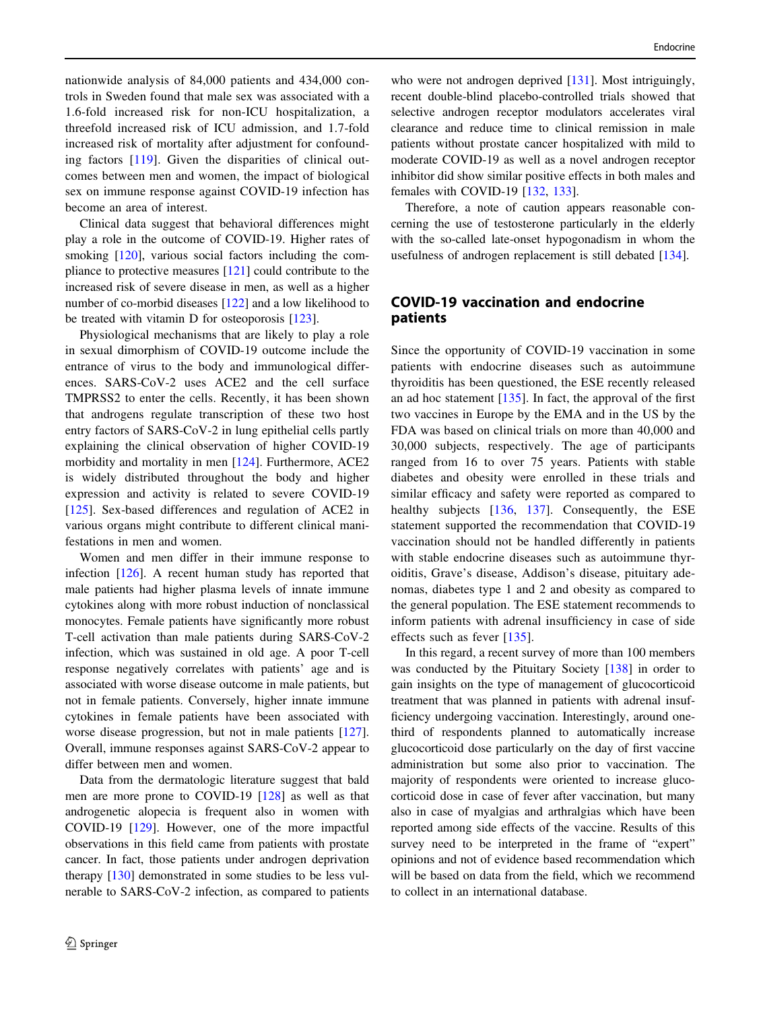nationwide analysis of 84,000 patients and 434,000 controls in Sweden found that male sex was associated with a 1.6-fold increased risk for non-ICU hospitalization, a threefold increased risk of ICU admission, and 1.7-fold increased risk of mortality after adjustment for confounding factors [[119](#page-14-0)]. Given the disparities of clinical outcomes between men and women, the impact of biological sex on immune response against COVID-19 infection has become an area of interest.

Clinical data suggest that behavioral differences might play a role in the outcome of COVID-19. Higher rates of smoking  $[120]$  $[120]$ , various social factors including the compliance to protective measures [[121\]](#page-14-0) could contribute to the increased risk of severe disease in men, as well as a higher number of co-morbid diseases [[122\]](#page-14-0) and a low likelihood to be treated with vitamin D for osteoporosis [\[123](#page-14-0)].

Physiological mechanisms that are likely to play a role in sexual dimorphism of COVID-19 outcome include the entrance of virus to the body and immunological differences. SARS-CoV-2 uses ACE2 and the cell surface TMPRSS2 to enter the cells. Recently, it has been shown that androgens regulate transcription of these two host entry factors of SARS-CoV-2 in lung epithelial cells partly explaining the clinical observation of higher COVID-19 morbidity and mortality in men [[124\]](#page-14-0). Furthermore, ACE2 is widely distributed throughout the body and higher expression and activity is related to severe COVID-19 [\[125](#page-14-0)]. Sex-based differences and regulation of ACE2 in various organs might contribute to different clinical manifestations in men and women.

Women and men differ in their immune response to infection [\[126](#page-15-0)]. A recent human study has reported that male patients had higher plasma levels of innate immune cytokines along with more robust induction of nonclassical monocytes. Female patients have significantly more robust T-cell activation than male patients during SARS-CoV-2 infection, which was sustained in old age. A poor T-cell response negatively correlates with patients' age and is associated with worse disease outcome in male patients, but not in female patients. Conversely, higher innate immune cytokines in female patients have been associated with worse disease progression, but not in male patients [\[127](#page-15-0)]. Overall, immune responses against SARS-CoV-2 appear to differ between men and women.

Data from the dermatologic literature suggest that bald men are more prone to COVID-19 [\[128](#page-15-0)] as well as that androgenetic alopecia is frequent also in women with COVID-19 [\[129](#page-15-0)]. However, one of the more impactful observations in this field came from patients with prostate cancer. In fact, those patients under androgen deprivation therapy [\[130](#page-15-0)] demonstrated in some studies to be less vulnerable to SARS-CoV-2 infection, as compared to patients

who were not androgen deprived [\[131](#page-15-0)]. Most intriguingly, recent double-blind placebo-controlled trials showed that selective androgen receptor modulators accelerates viral clearance and reduce time to clinical remission in male patients without prostate cancer hospitalized with mild to moderate COVID-19 as well as a novel androgen receptor inhibitor did show similar positive effects in both males and females with COVID-19 [\[132](#page-15-0), [133\]](#page-15-0).

Therefore, a note of caution appears reasonable concerning the use of testosterone particularly in the elderly with the so-called late-onset hypogonadism in whom the usefulness of androgen replacement is still debated [[134\]](#page-15-0).

# COVID-19 vaccination and endocrine patients

Since the opportunity of COVID-19 vaccination in some patients with endocrine diseases such as autoimmune thyroiditis has been questioned, the ESE recently released an ad hoc statement  $[135]$  $[135]$ . In fact, the approval of the first two vaccines in Europe by the EMA and in the US by the FDA was based on clinical trials on more than 40,000 and 30,000 subjects, respectively. The age of participants ranged from 16 to over 75 years. Patients with stable diabetes and obesity were enrolled in these trials and similar efficacy and safety were reported as compared to healthy subjects [[136](#page-15-0), [137](#page-15-0)]. Consequently, the ESE statement supported the recommendation that COVID-19 vaccination should not be handled differently in patients with stable endocrine diseases such as autoimmune thyroiditis, Grave's disease, Addison's disease, pituitary adenomas, diabetes type 1 and 2 and obesity as compared to the general population. The ESE statement recommends to inform patients with adrenal insufficiency in case of side effects such as fever [\[135](#page-15-0)].

In this regard, a recent survey of more than 100 members was conducted by the Pituitary Society [[138\]](#page-15-0) in order to gain insights on the type of management of glucocorticoid treatment that was planned in patients with adrenal insufficiency undergoing vaccination. Interestingly, around onethird of respondents planned to automatically increase glucocorticoid dose particularly on the day of first vaccine administration but some also prior to vaccination. The majority of respondents were oriented to increase glucocorticoid dose in case of fever after vaccination, but many also in case of myalgias and arthralgias which have been reported among side effects of the vaccine. Results of this survey need to be interpreted in the frame of "expert" opinions and not of evidence based recommendation which will be based on data from the field, which we recommend to collect in an international database.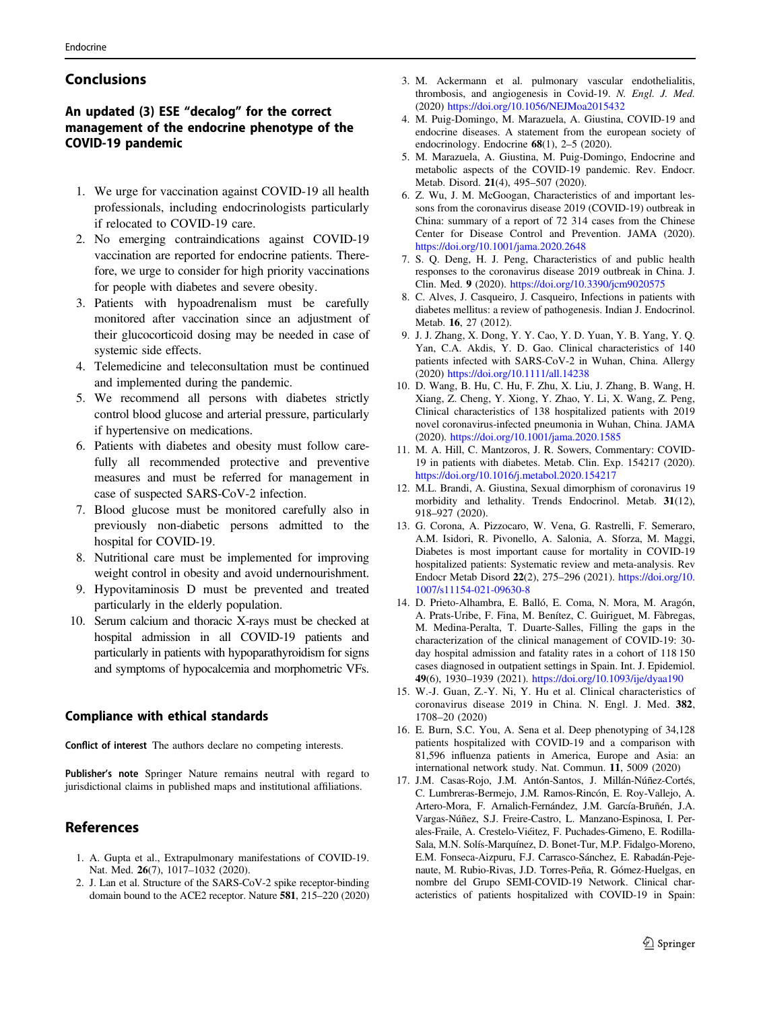# <span id="page-10-0"></span>Conclusions

# An updated (3) ESE "decalog" for the correct management of the endocrine phenotype of the COVID-19 pandemic

- 1. We urge for vaccination against COVID-19 all health professionals, including endocrinologists particularly if relocated to COVID-19 care.
- 2. No emerging contraindications against COVID-19 vaccination are reported for endocrine patients. Therefore, we urge to consider for high priority vaccinations for people with diabetes and severe obesity.
- 3. Patients with hypoadrenalism must be carefully monitored after vaccination since an adjustment of their glucocorticoid dosing may be needed in case of systemic side effects.
- 4. Telemedicine and teleconsultation must be continued and implemented during the pandemic.
- 5. We recommend all persons with diabetes strictly control blood glucose and arterial pressure, particularly if hypertensive on medications.
- 6. Patients with diabetes and obesity must follow carefully all recommended protective and preventive measures and must be referred for management in case of suspected SARS-CoV-2 infection.
- 7. Blood glucose must be monitored carefully also in previously non-diabetic persons admitted to the hospital for COVID-19.
- 8. Nutritional care must be implemented for improving weight control in obesity and avoid undernourishment.
- 9. Hypovitaminosis D must be prevented and treated particularly in the elderly population.
- 10. Serum calcium and thoracic X-rays must be checked at hospital admission in all COVID-19 patients and particularly in patients with hypoparathyroidism for signs and symptoms of hypocalcemia and morphometric VFs.

### Compliance with ethical standards

Conflict of interest The authors declare no competing interests.

Publisher's note Springer Nature remains neutral with regard to jurisdictional claims in published maps and institutional affiliations.

# References

- 1. A. Gupta et al., Extrapulmonary manifestations of COVID-19. Nat. Med. 26(7), 1017–1032 (2020).
- 2. J. Lan et al. Structure of the SARS-CoV-2 spike receptor-binding domain bound to the ACE2 receptor. Nature 581, 215–220 (2020)
- 3. M. Ackermann et al. pulmonary vascular endothelialitis, thrombosis, and angiogenesis in Covid-19. N. Engl. J. Med. (2020) <https://doi.org/10.1056/NEJMoa2015432>
- 4. M. Puig-Domingo, M. Marazuela, A. Giustina, COVID-19 and endocrine diseases. A statement from the european society of endocrinology. Endocrine  $68(1)$ , 2–5 (2020).
- 5. M. Marazuela, A. Giustina, M. Puig-Domingo, Endocrine and metabolic aspects of the COVID-19 pandemic. Rev. Endocr. Metab. Disord. 21(4), 495–507 (2020).
- 6. Z. Wu, J. M. McGoogan, Characteristics of and important lessons from the coronavirus disease 2019 (COVID-19) outbreak in China: summary of a report of 72 314 cases from the Chinese Center for Disease Control and Prevention. JAMA (2020). <https://doi.org/10.1001/jama.2020.2648>
- 7. S. Q. Deng, H. J. Peng, Characteristics of and public health responses to the coronavirus disease 2019 outbreak in China. J. Clin. Med. 9 (2020). <https://doi.org/10.3390/jcm9020575>
- 8. C. Alves, J. Casqueiro, J. Casqueiro, Infections in patients with diabetes mellitus: a review of pathogenesis. Indian J. Endocrinol. Metab. 16, 27 (2012).
- 9. J. J. Zhang, X. Dong, Y. Y. Cao, Y. D. Yuan, Y. B. Yang, Y. Q. Yan, C.A. Akdis, Y. D. Gao. Clinical characteristics of 140 patients infected with SARS-CoV-2 in Wuhan, China. Allergy (2020) <https://doi.org/10.1111/all.14238>
- 10. D. Wang, B. Hu, C. Hu, F. Zhu, X. Liu, J. Zhang, B. Wang, H. Xiang, Z. Cheng, Y. Xiong, Y. Zhao, Y. Li, X. Wang, Z. Peng, Clinical characteristics of 138 hospitalized patients with 2019 novel coronavirus-infected pneumonia in Wuhan, China. JAMA (2020). <https://doi.org/10.1001/jama.2020.1585>
- 11. M. A. Hill, C. Mantzoros, J. R. Sowers, Commentary: COVID-19 in patients with diabetes. Metab. Clin. Exp. 154217 (2020). <https://doi.org/10.1016/j.metabol.2020.154217>
- 12. M.L. Brandi, A. Giustina, Sexual dimorphism of coronavirus 19 morbidity and lethality. Trends Endocrinol. Metab. 31(12), 918–927 (2020).
- 13. G. Corona, A. Pizzocaro, W. Vena, G. Rastrelli, F. Semeraro, A.M. Isidori, R. Pivonello, A. Salonia, A. Sforza, M. Maggi, Diabetes is most important cause for mortality in COVID-19 hospitalized patients: Systematic review and meta-analysis. Rev Endocr Metab Disord 22(2), 275–296 (2021). [https://doi.org/10.](https://doi.org/10.1007/s11154-021-09630-8) [1007/s11154-021-09630-8](https://doi.org/10.1007/s11154-021-09630-8)
- 14. D. Prieto-Alhambra, E. Balló, E. Coma, N. Mora, M. Aragón, A. Prats-Uribe, F. Fina, M. Benítez, C. Guiriguet, M. Fàbregas, M. Medina-Peralta, T. Duarte-Salles, Filling the gaps in the characterization of the clinical management of COVID-19: 30 day hospital admission and fatality rates in a cohort of 118 150 cases diagnosed in outpatient settings in Spain. Int. J. Epidemiol. 49(6), 1930–1939 (2021). <https://doi.org/10.1093/ije/dyaa190>
- 15. W.-J. Guan, Z.-Y. Ni, Y. Hu et al. Clinical characteristics of coronavirus disease 2019 in China. N. Engl. J. Med. 382, 1708–20 (2020)
- 16. E. Burn, S.C. You, A. Sena et al. Deep phenotyping of 34,128 patients hospitalized with COVID-19 and a comparison with 81,596 influenza patients in America, Europe and Asia: an international network study. Nat. Commun. 11, 5009 (2020)
- 17. J.M. Casas-Rojo, J.M. Antón-Santos, J. Millán-Núñez-Cortés, C. Lumbreras-Bermejo, J.M. Ramos-Rincón, E. Roy-Vallejo, A. Artero-Mora, F. Arnalich-Fernández, J.M. García-Bruñén, J.A. Vargas-Núñez, S.J. Freire-Castro, L. Manzano-Espinosa, I. Perales-Fraile, A. Crestelo-Viéitez, F. Puchades-Gimeno, E. Rodilla-Sala, M.N. Solís-Marquínez, D. Bonet-Tur, M.P. Fidalgo-Moreno, E.M. Fonseca-Aizpuru, F.J. Carrasco-Sánchez, E. Rabadán-Pejenaute, M. Rubio-Rivas, J.D. Torres-Peña, R. Gómez-Huelgas, en nombre del Grupo SEMI-COVID-19 Network. Clinical characteristics of patients hospitalized with COVID-19 in Spain: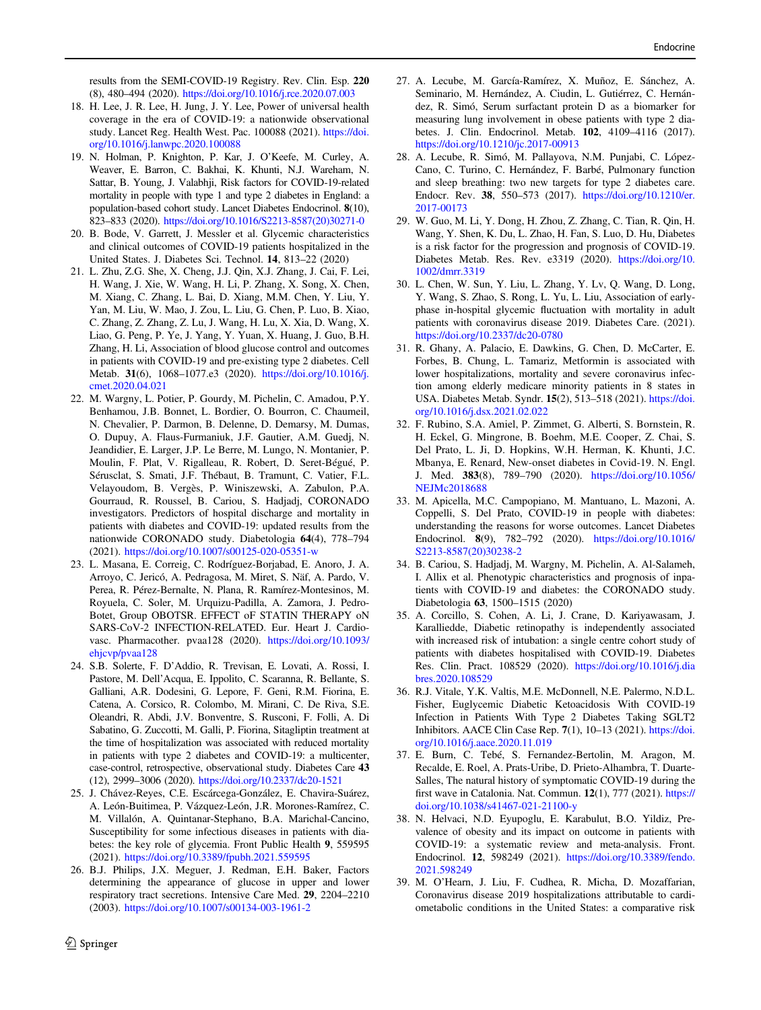<span id="page-11-0"></span>results from the SEMI-COVID-19 Registry. Rev. Clin. Esp. 220 (8), 480–494 (2020). <https://doi.org/10.1016/j.rce.2020.07.003>

- 18. H. Lee, J. R. Lee, H. Jung, J. Y. Lee, Power of universal health coverage in the era of COVID-19: a nationwide observational study. Lancet Reg. Health West. Pac. 100088 (2021). [https://doi.](https://doi.org/10.1016/j.lanwpc.2020.100088) [org/10.1016/j.lanwpc.2020.100088](https://doi.org/10.1016/j.lanwpc.2020.100088)
- 19. N. Holman, P. Knighton, P. Kar, J. O'Keefe, M. Curley, A. Weaver, E. Barron, C. Bakhai, K. Khunti, N.J. Wareham, N. Sattar, B. Young, J. Valabhji, Risk factors for COVID-19-related mortality in people with type 1 and type 2 diabetes in England: a population-based cohort study. Lancet Diabetes Endocrinol. 8(10), 823–833 (2020). [https://doi.org/10.1016/S2213-8587\(20\)30271-0](https://doi.org/10.1016/S2213-8587(20)30271-0)
- 20. B. Bode, V. Garrett, J. Messler et al. Glycemic characteristics and clinical outcomes of COVID-19 patients hospitalized in the United States. J. Diabetes Sci. Technol. 14, 813–22 (2020)
- 21. L. Zhu, Z.G. She, X. Cheng, J.J. Qin, X.J. Zhang, J. Cai, F. Lei, H. Wang, J. Xie, W. Wang, H. Li, P. Zhang, X. Song, X. Chen, M. Xiang, C. Zhang, L. Bai, D. Xiang, M.M. Chen, Y. Liu, Y. Yan, M. Liu, W. Mao, J. Zou, L. Liu, G. Chen, P. Luo, B. Xiao, C. Zhang, Z. Zhang, Z. Lu, J. Wang, H. Lu, X. Xia, D. Wang, X. Liao, G. Peng, P. Ye, J. Yang, Y. Yuan, X. Huang, J. Guo, B.H. Zhang, H. Li, Association of blood glucose control and outcomes in patients with COVID-19 and pre-existing type 2 diabetes. Cell Metab. 31(6), 1068–1077.e3 (2020). [https://doi.org/10.1016/j.](https://doi.org/10.1016/j.cmet.2020.04.021) [cmet.2020.04.021](https://doi.org/10.1016/j.cmet.2020.04.021)
- 22. M. Wargny, L. Potier, P. Gourdy, M. Pichelin, C. Amadou, P.Y. Benhamou, J.B. Bonnet, L. Bordier, O. Bourron, C. Chaumeil, N. Chevalier, P. Darmon, B. Delenne, D. Demarsy, M. Dumas, O. Dupuy, A. Flaus-Furmaniuk, J.F. Gautier, A.M. Guedj, N. Jeandidier, E. Larger, J.P. Le Berre, M. Lungo, N. Montanier, P. Moulin, F. Plat, V. Rigalleau, R. Robert, D. Seret-Bégué, P. Sérusclat, S. Smati, J.F. Thébaut, B. Tramunt, C. Vatier, F.L. Velayoudom, B. Vergès, P. Winiszewski, A. Zabulon, P.A. Gourraud, R. Roussel, B. Cariou, S. Hadjadj, CORONADO investigators. Predictors of hospital discharge and mortality in patients with diabetes and COVID-19: updated results from the nationwide CORONADO study. Diabetologia 64(4), 778–794 (2021). <https://doi.org/10.1007/s00125-020-05351-w>
- 23. L. Masana, E. Correig, C. Rodríguez-Borjabad, E. Anoro, J. A. Arroyo, C. Jericó, A. Pedragosa, M. Miret, S. Näf, A. Pardo, V. Perea, R. Pérez-Bernalte, N. Plana, R. Ramírez-Montesinos, M. Royuela, C. Soler, M. Urquizu-Padilla, A. Zamora, J. Pedro-Botet, Group OBOTSR. EFFECT oF STATIN THERAPY oN SARS-CoV-2 INFECTION-RELATED. Eur. Heart J. Cardiovasc. Pharmacother. pvaa128 (2020). [https://doi.org/10.1093/](https://doi.org/10.1093/ehjcvp/pvaa128) [ehjcvp/pvaa128](https://doi.org/10.1093/ehjcvp/pvaa128)
- 24. S.B. Solerte, F. D'Addio, R. Trevisan, E. Lovati, A. Rossi, I. Pastore, M. Dell'Acqua, E. Ippolito, C. Scaranna, R. Bellante, S. Galliani, A.R. Dodesini, G. Lepore, F. Geni, R.M. Fiorina, E. Catena, A. Corsico, R. Colombo, M. Mirani, C. De Riva, S.E. Oleandri, R. Abdi, J.V. Bonventre, S. Rusconi, F. Folli, A. Di Sabatino, G. Zuccotti, M. Galli, P. Fiorina, Sitagliptin treatment at the time of hospitalization was associated with reduced mortality in patients with type 2 diabetes and COVID-19: a multicenter, case-control, retrospective, observational study. Diabetes Care 43 (12), 2999–3006 (2020). <https://doi.org/10.2337/dc20-1521>
- 25. J. Chávez-Reyes, C.E. Escárcega-González, E. Chavira-Suárez, A. León-Buitimea, P. Vázquez-León, J.R. Morones-Ramírez, C. M. Villalón, A. Quintanar-Stephano, B.A. Marichal-Cancino, Susceptibility for some infectious diseases in patients with diabetes: the key role of glycemia. Front Public Health 9, 559595 (2021). <https://doi.org/10.3389/fpubh.2021.559595>
- 26. B.J. Philips, J.X. Meguer, J. Redman, E.H. Baker, Factors determining the appearance of glucose in upper and lower respiratory tract secretions. Intensive Care Med. 29, 2204–2210 (2003). <https://doi.org/10.1007/s00134-003-1961-2>
- 27. A. Lecube, M. García-Ramírez, X. Muñoz, E. Sánchez, A. Seminario, M. Hernández, A. Ciudin, L. Gutiérrez, C. Hernández, R. Simó, Serum surfactant protein D as a biomarker for measuring lung involvement in obese patients with type 2 diabetes. J. Clin. Endocrinol. Metab. 102, 4109–4116 (2017). <https://doi.org/10.1210/jc.2017-00913>
- 28. A. Lecube, R. Simó, M. Pallayova, N.M. Punjabi, C. López-Cano, C. Turino, C. Hernández, F. Barbé, Pulmonary function and sleep breathing: two new targets for type 2 diabetes care. Endocr. Rev. 38, 550–573 (2017). [https://doi.org/10.1210/er.](https://doi.org/10.1210/er.2017-00173) [2017-00173](https://doi.org/10.1210/er.2017-00173)
- 29. W. Guo, M. Li, Y. Dong, H. Zhou, Z. Zhang, C. Tian, R. Qin, H. Wang, Y. Shen, K. Du, L. Zhao, H. Fan, S. Luo, D. Hu, Diabetes is a risk factor for the progression and prognosis of COVID-19. Diabetes Metab. Res. Rev. e3319 (2020). [https://doi.org/10.](https://doi.org/10.1002/dmrr.3319) [1002/dmrr.3319](https://doi.org/10.1002/dmrr.3319)
- 30. L. Chen, W. Sun, Y. Liu, L. Zhang, Y. Lv, Q. Wang, D. Long, Y. Wang, S. Zhao, S. Rong, L. Yu, L. Liu, Association of earlyphase in-hospital glycemic fluctuation with mortality in adult patients with coronavirus disease 2019. Diabetes Care. (2021). <https://doi.org/10.2337/dc20-0780>
- 31. R. Ghany, A. Palacio, E. Dawkins, G. Chen, D. McCarter, E. Forbes, B. Chung, L. Tamariz, Metformin is associated with lower hospitalizations, mortality and severe coronavirus infection among elderly medicare minority patients in 8 states in USA. Diabetes Metab. Syndr. 15(2), 513–518 (2021). [https://doi.](https://doi.org/10.1016/j.dsx.2021.02.022) [org/10.1016/j.dsx.2021.02.022](https://doi.org/10.1016/j.dsx.2021.02.022)
- 32. F. Rubino, S.A. Amiel, P. Zimmet, G. Alberti, S. Bornstein, R. H. Eckel, G. Mingrone, B. Boehm, M.E. Cooper, Z. Chai, S. Del Prato, L. Ji, D. Hopkins, W.H. Herman, K. Khunti, J.C. Mbanya, E. Renard, New-onset diabetes in Covid-19. N. Engl. J. Med. 383(8), 789–790 (2020). [https://doi.org/10.1056/](https://doi.org/10.1056/NEJMc2018688) [NEJMc2018688](https://doi.org/10.1056/NEJMc2018688)
- 33. M. Apicella, M.C. Campopiano, M. Mantuano, L. Mazoni, A. Coppelli, S. Del Prato, COVID-19 in people with diabetes: understanding the reasons for worse outcomes. Lancet Diabetes Endocrinol. 8(9), 782–792 (2020). [https://doi.org/10.1016/](https://doi.org/10.1016/S2213-8587(20)30238-2) [S2213-8587\(20\)30238-2](https://doi.org/10.1016/S2213-8587(20)30238-2)
- 34. B. Cariou, S. Hadjadj, M. Wargny, M. Pichelin, A. Al-Salameh, I. Allix et al. Phenotypic characteristics and prognosis of inpatients with COVID-19 and diabetes: the CORONADO study. Diabetologia 63, 1500–1515 (2020)
- 35. A. Corcillo, S. Cohen, A. Li, J. Crane, D. Kariyawasam, J. Karalliedde, Diabetic retinopathy is independently associated with increased risk of intubation: a single centre cohort study of patients with diabetes hospitalised with COVID-19. Diabetes Res. Clin. Pract. 108529 (2020). [https://doi.org/10.1016/j.dia](https://doi.org/10.1016/j.diabres.2020.108529) [bres.2020.108529](https://doi.org/10.1016/j.diabres.2020.108529)
- 36. R.J. Vitale, Y.K. Valtis, M.E. McDonnell, N.E. Palermo, N.D.L. Fisher, Euglycemic Diabetic Ketoacidosis With COVID-19 Infection in Patients With Type 2 Diabetes Taking SGLT2 Inhibitors. AACE Clin Case Rep. 7(1), 10–13 (2021). [https://doi.](https://doi.org/10.1016/j.aace.2020.11.019) [org/10.1016/j.aace.2020.11.019](https://doi.org/10.1016/j.aace.2020.11.019)
- 37. E. Burn, C. Tebé, S. Fernandez-Bertolin, M. Aragon, M. Recalde, E. Roel, A. Prats-Uribe, D. Prieto-Alhambra, T. Duarte-Salles, The natural history of symptomatic COVID-19 during the first wave in Catalonia. Nat. Commun. 12(1), 777 (2021). [https://](https://doi.org/10.1038/s41467-021-21100-y) [doi.org/10.1038/s41467-021-21100-y](https://doi.org/10.1038/s41467-021-21100-y)
- 38. N. Helvaci, N.D. Eyupoglu, E. Karabulut, B.O. Yildiz, Prevalence of obesity and its impact on outcome in patients with COVID-19: a systematic review and meta-analysis. Front. Endocrinol. 12, 598249 (2021). [https://doi.org/10.3389/fendo.](https://doi.org/10.3389/fendo.2021.598249) [2021.598249](https://doi.org/10.3389/fendo.2021.598249)
- 39. M. O'Hearn, J. Liu, F. Cudhea, R. Micha, D. Mozaffarian, Coronavirus disease 2019 hospitalizations attributable to cardiometabolic conditions in the United States: a comparative risk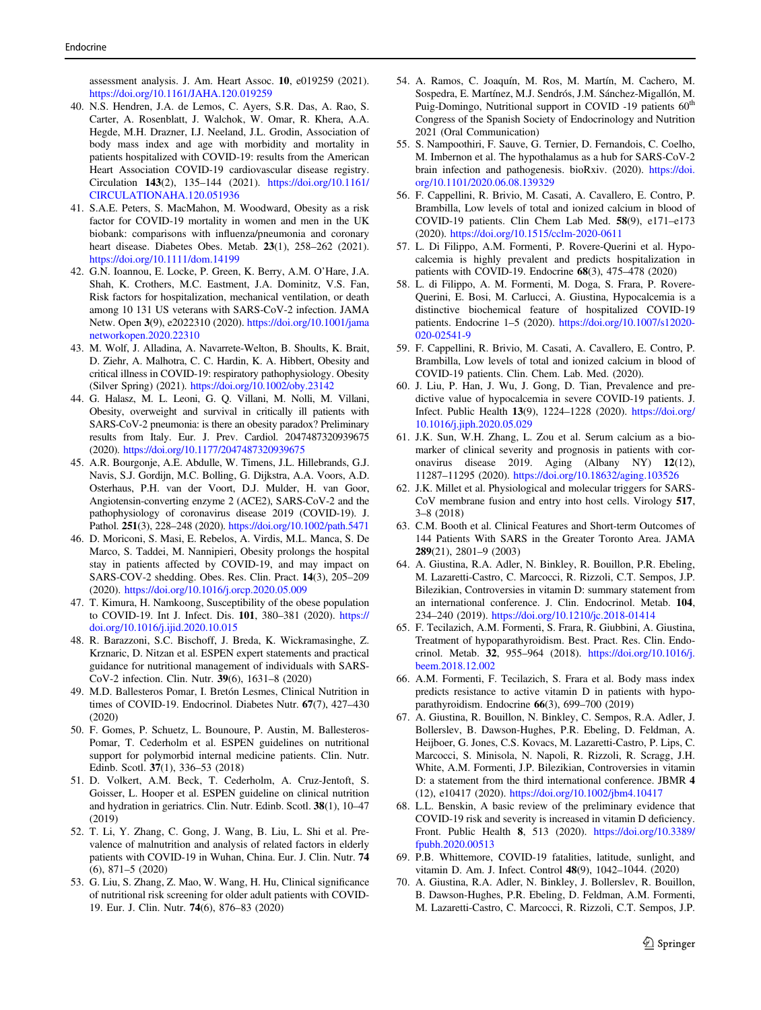<span id="page-12-0"></span>assessment analysis. J. Am. Heart Assoc. 10, e019259 (2021). <https://doi.org/10.1161/JAHA.120.019259>

- 40. N.S. Hendren, J.A. de Lemos, C. Ayers, S.R. Das, A. Rao, S. Carter, A. Rosenblatt, J. Walchok, W. Omar, R. Khera, A.A. Hegde, M.H. Drazner, I.J. Neeland, J.L. Grodin, Association of body mass index and age with morbidity and mortality in patients hospitalized with COVID-19: results from the American Heart Association COVID-19 cardiovascular disease registry. Circulation 143(2), 135–144 (2021). [https://doi.org/10.1161/](https://doi.org/10.1161/CIRCULATIONAHA.120.051936) [CIRCULATIONAHA.120.051936](https://doi.org/10.1161/CIRCULATIONAHA.120.051936)
- 41. S.A.E. Peters, S. MacMahon, M. Woodward, Obesity as a risk factor for COVID-19 mortality in women and men in the UK biobank: comparisons with influenza/pneumonia and coronary heart disease. Diabetes Obes. Metab. 23(1), 258–262 (2021). <https://doi.org/10.1111/dom.14199>
- 42. G.N. Ioannou, E. Locke, P. Green, K. Berry, A.M. O'Hare, J.A. Shah, K. Crothers, M.C. Eastment, J.A. Dominitz, V.S. Fan, Risk factors for hospitalization, mechanical ventilation, or death among 10 131 US veterans with SARS-CoV-2 infection. JAMA Netw. Open 3(9), e2022310 (2020). [https://doi.org/10.1001/jama](https://doi.org/10.1001/jamanetworkopen.2020.22310) [networkopen.2020.22310](https://doi.org/10.1001/jamanetworkopen.2020.22310)
- 43. M. Wolf, J. Alladina, A. Navarrete-Welton, B. Shoults, K. Brait, D. Ziehr, A. Malhotra, C. C. Hardin, K. A. Hibbert, Obesity and critical illness in COVID-19: respiratory pathophysiology. Obesity (Silver Spring) (2021). <https://doi.org/10.1002/oby.23142>
- 44. G. Halasz, M. L. Leoni, G. Q. Villani, M. Nolli, M. Villani, Obesity, overweight and survival in critically ill patients with SARS-CoV-2 pneumonia: is there an obesity paradox? Preliminary results from Italy. Eur. J. Prev. Cardiol. 2047487320939675 (2020). <https://doi.org/10.1177/2047487320939675>
- 45. A.R. Bourgonje, A.E. Abdulle, W. Timens, J.L. Hillebrands, G.J. Navis, S.J. Gordijn, M.C. Bolling, G. Dijkstra, A.A. Voors, A.D. Osterhaus, P.H. van der Voort, D.J. Mulder, H. van Goor, Angiotensin-converting enzyme 2 (ACE2), SARS-CoV-2 and the pathophysiology of coronavirus disease 2019 (COVID-19). J. Pathol. 251(3), 228–248 (2020). <https://doi.org/10.1002/path.5471>
- 46. D. Moriconi, S. Masi, E. Rebelos, A. Virdis, M.L. Manca, S. De Marco, S. Taddei, M. Nannipieri, Obesity prolongs the hospital stay in patients affected by COVID-19, and may impact on SARS-COV-2 shedding. Obes. Res. Clin. Pract. 14(3), 205–209 (2020). <https://doi.org/10.1016/j.orcp.2020.05.009>
- 47. T. Kimura, H. Namkoong, Susceptibility of the obese population to COVID-19. Int J. Infect. Dis. 101, 380–381 (2020). [https://](https://doi.org/10.1016/j.ijid.2020.10.015) [doi.org/10.1016/j.ijid.2020.10.015](https://doi.org/10.1016/j.ijid.2020.10.015)
- 48. R. Barazzoni, S.C. Bischoff, J. Breda, K. Wickramasinghe, Z. Krznaric, D. Nitzan et al. ESPEN expert statements and practical guidance for nutritional management of individuals with SARS-CoV-2 infection. Clin. Nutr. 39(6), 1631–8 (2020)
- 49. M.D. Ballesteros Pomar, I. Bretón Lesmes, Clinical Nutrition in times of COVID-19. Endocrinol. Diabetes Nutr. 67(7), 427–430 (2020)
- 50. F. Gomes, P. Schuetz, L. Bounoure, P. Austin, M. Ballesteros-Pomar, T. Cederholm et al. ESPEN guidelines on nutritional support for polymorbid internal medicine patients. Clin. Nutr. Edinb. Scotl. 37(1), 336–53 (2018)
- 51. D. Volkert, A.M. Beck, T. Cederholm, A. Cruz-Jentoft, S. Goisser, L. Hooper et al. ESPEN guideline on clinical nutrition and hydration in geriatrics. Clin. Nutr. Edinb. Scotl. 38(1), 10–47 (2019)
- 52. T. Li, Y. Zhang, C. Gong, J. Wang, B. Liu, L. Shi et al. Prevalence of malnutrition and analysis of related factors in elderly patients with COVID-19 in Wuhan, China. Eur. J. Clin. Nutr. 74 (6), 871–5 (2020)
- 53. G. Liu, S. Zhang, Z. Mao, W. Wang, H. Hu, Clinical significance of nutritional risk screening for older adult patients with COVID-19. Eur. J. Clin. Nutr. 74(6), 876–83 (2020)
- 54. A. Ramos, C. Joaquín, M. Ros, M. Martín, M. Cachero, M. Sospedra, E. Martínez, M.J. Sendrós, J.M. Sánchez-Migallón, M. Puig-Domingo, Nutritional support in COVID -19 patients  $60^{\text{th}}$ Congress of the Spanish Society of Endocrinology and Nutrition 2021 (Oral Communication)
- 55. S. Nampoothiri, F. Sauve, G. Ternier, D. Fernandois, C. Coelho, M. Imbernon et al. The hypothalamus as a hub for SARS-CoV-2 brain infection and pathogenesis. bioRxiv. (2020). [https://doi.](https://doi.org/10.1101/2020.06.08.139329) [org/10.1101/2020.06.08.139329](https://doi.org/10.1101/2020.06.08.139329)
- 56. F. Cappellini, R. Brivio, M. Casati, A. Cavallero, E. Contro, P. Brambilla, Low levels of total and ionized calcium in blood of COVID-19 patients. Clin Chem Lab Med. 58(9), e171–e173 (2020). <https://doi.org/10.1515/cclm-2020-0611>
- 57. L. Di Filippo, A.M. Formenti, P. Rovere-Querini et al. Hypocalcemia is highly prevalent and predicts hospitalization in patients with COVID-19. Endocrine 68(3), 475–478 (2020)
- 58. L. di Filippo, A. M. Formenti, M. Doga, S. Frara, P. Rovere-Querini, E. Bosi, M. Carlucci, A. Giustina, Hypocalcemia is a distinctive biochemical feature of hospitalized COVID-19 patients. Endocrine 1–5 (2020). [https://doi.org/10.1007/s12020-](https://doi.org/10.1007/s12020-020-02541-9) [020-02541-9](https://doi.org/10.1007/s12020-020-02541-9)
- 59. F. Cappellini, R. Brivio, M. Casati, A. Cavallero, E. Contro, P. Brambilla, Low levels of total and ionized calcium in blood of COVID-19 patients. Clin. Chem. Lab. Med. (2020).
- 60. J. Liu, P. Han, J. Wu, J. Gong, D. Tian, Prevalence and predictive value of hypocalcemia in severe COVID-19 patients. J. Infect. Public Health 13(9), 1224–1228 (2020). [https://doi.org/](https://doi.org/10.1016/j.jiph.2020.05.029) [10.1016/j.jiph.2020.05.029](https://doi.org/10.1016/j.jiph.2020.05.029)
- 61. J.K. Sun, W.H. Zhang, L. Zou et al. Serum calcium as a biomarker of clinical severity and prognosis in patients with coronavirus disease 2019. Aging (Albany NY) 12(12), 11287–11295 (2020). <https://doi.org/10.18632/aging.103526>
- 62. J.K. Millet et al. Physiological and molecular triggers for SARS-CoV membrane fusion and entry into host cells. Virology 517, 3–8 (2018)
- 63. C.M. Booth et al. Clinical Features and Short-term Outcomes of 144 Patients With SARS in the Greater Toronto Area. JAMA 289(21), 2801–9 (2003)
- 64. A. Giustina, R.A. Adler, N. Binkley, R. Bouillon, P.R. Ebeling, M. Lazaretti-Castro, C. Marcocci, R. Rizzoli, C.T. Sempos, J.P. Bilezikian, Controversies in vitamin D: summary statement from an international conference. J. Clin. Endocrinol. Metab. 104, 234–240 (2019). <https://doi.org/10.1210/jc.2018-01414>
- 65. F. Tecilazich, A.M. Formenti, S. Frara, R. Giubbini, A. Giustina, Treatment of hypoparathyroidism. Best. Pract. Res. Clin. Endocrinol. Metab. 32, 955–964 (2018). [https://doi.org/10.1016/j.](https://doi.org/10.1016/j.beem.2018.12.002) [beem.2018.12.002](https://doi.org/10.1016/j.beem.2018.12.002)
- 66. A.M. Formenti, F. Tecilazich, S. Frara et al. Body mass index predicts resistance to active vitamin D in patients with hypoparathyroidism. Endocrine 66(3), 699–700 (2019)
- 67. A. Giustina, R. Bouillon, N. Binkley, C. Sempos, R.A. Adler, J. Bollerslev, B. Dawson-Hughes, P.R. Ebeling, D. Feldman, A. Heijboer, G. Jones, C.S. Kovacs, M. Lazaretti-Castro, P. Lips, C. Marcocci, S. Minisola, N. Napoli, R. Rizzoli, R. Scragg, J.H. White, A.M. Formenti, J.P. Bilezikian, Controversies in vitamin D: a statement from the third international conference. JBMR 4 (12), e10417 (2020). <https://doi.org/10.1002/jbm4.10417>
- 68. L.L. Benskin, A basic review of the preliminary evidence that COVID-19 risk and severity is increased in vitamin D deficiency. Front. Public Health 8, 513 (2020). [https://doi.org/10.3389/](https://doi.org/10.3389/fpubh.2020.00513) [fpubh.2020.00513](https://doi.org/10.3389/fpubh.2020.00513)
- 69. P.B. Whittemore, COVID-19 fatalities, latitude, sunlight, and vitamin D. Am. J. Infect. Control 48(9), 1042–1044. (2020)
- 70. A. Giustina, R.A. Adler, N. Binkley, J. Bollerslev, R. Bouillon, B. Dawson-Hughes, P.R. Ebeling, D. Feldman, A.M. Formenti, M. Lazaretti-Castro, C. Marcocci, R. Rizzoli, C.T. Sempos, J.P.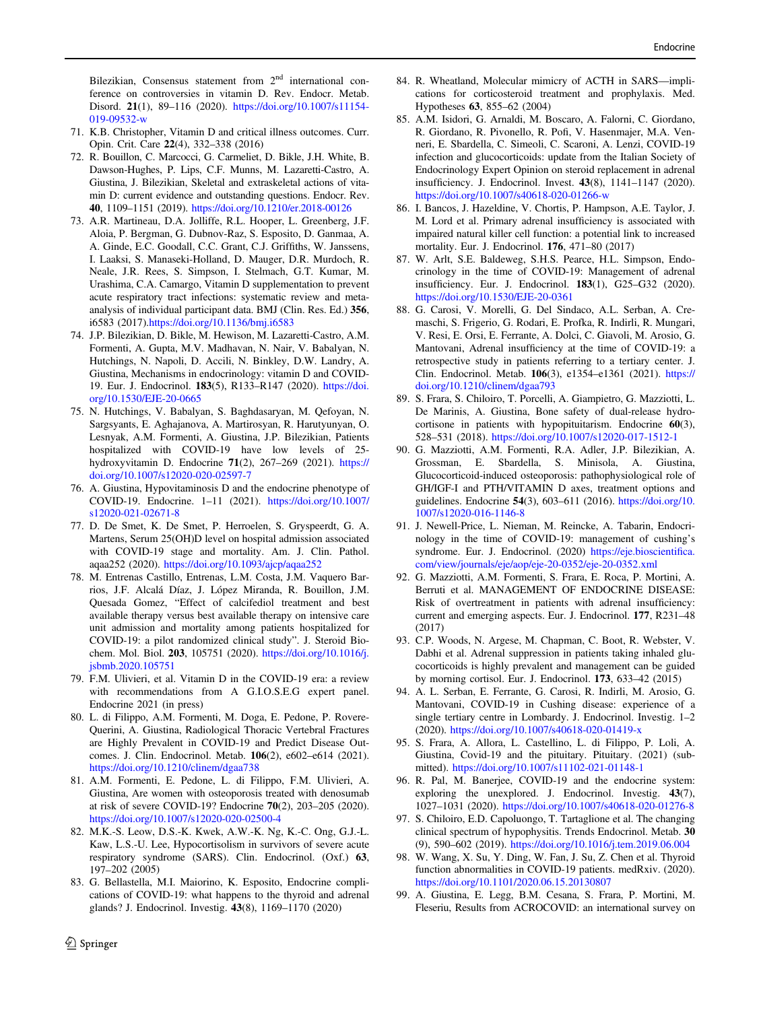<span id="page-13-0"></span>Bilezikian, Consensus statement from 2<sup>nd</sup> international conference on controversies in vitamin D. Rev. Endocr. Metab. Disord. 21(1), 89–116 (2020). [https://doi.org/10.1007/s11154-](https://doi.org/10.1007/s11154-019-09532-w) [019-09532-w](https://doi.org/10.1007/s11154-019-09532-w)

- 71. K.B. Christopher, Vitamin D and critical illness outcomes. Curr. Opin. Crit. Care 22(4), 332–338 (2016)
- 72. R. Bouillon, C. Marcocci, G. Carmeliet, D. Bikle, J.H. White, B. Dawson-Hughes, P. Lips, C.F. Munns, M. Lazaretti-Castro, A. Giustina, J. Bilezikian, Skeletal and extraskeletal actions of vitamin D: current evidence and outstanding questions. Endocr. Rev. 40, 1109–1151 (2019). <https://doi.org/10.1210/er.2018-00126>
- 73. A.R. Martineau, D.A. Jolliffe, R.L. Hooper, L. Greenberg, J.F. Aloia, P. Bergman, G. Dubnov-Raz, S. Esposito, D. Ganmaa, A. A. Ginde, E.C. Goodall, C.C. Grant, C.J. Griffiths, W. Janssens, I. Laaksi, S. Manaseki-Holland, D. Mauger, D.R. Murdoch, R. Neale, J.R. Rees, S. Simpson, I. Stelmach, G.T. Kumar, M. Urashima, C.A. Camargo, Vitamin D supplementation to prevent acute respiratory tract infections: systematic review and metaanalysis of individual participant data. BMJ (Clin. Res. Ed.) 356, i6583 (2017).<https://doi.org/10.1136/bmj.i6583>
- 74. J.P. Bilezikian, D. Bikle, M. Hewison, M. Lazaretti-Castro, A.M. Formenti, A. Gupta, M.V. Madhavan, N. Nair, V. Babalyan, N. Hutchings, N. Napoli, D. Accili, N. Binkley, D.W. Landry, A. Giustina, Mechanisms in endocrinology: vitamin D and COVID-19. Eur. J. Endocrinol. 183(5), R133–R147 (2020). [https://doi.](https://doi.org/10.1530/EJE-20-0665) [org/10.1530/EJE-20-0665](https://doi.org/10.1530/EJE-20-0665)
- 75. N. Hutchings, V. Babalyan, S. Baghdasaryan, M. Qefoyan, N. Sargsyants, E. Aghajanova, A. Martirosyan, R. Harutyunyan, O. Lesnyak, A.M. Formenti, A. Giustina, J.P. Bilezikian, Patients hospitalized with COVID-19 have low levels of 25 hydroxyvitamin D. Endocrine 71(2), 267–269 (2021). [https://](https://doi.org/10.1007/s12020-020-02597-7) [doi.org/10.1007/s12020-020-02597-7](https://doi.org/10.1007/s12020-020-02597-7)
- 76. A. Giustina, Hypovitaminosis D and the endocrine phenotype of COVID-19. Endocrine. 1–11 (2021). [https://doi.org/10.1007/](https://doi.org/10.1007/s12020-021-02671-8) [s12020-021-02671-8](https://doi.org/10.1007/s12020-021-02671-8)
- 77. D. De Smet, K. De Smet, P. Herroelen, S. Gryspeerdt, G. A. Martens, Serum 25(OH)D level on hospital admission associated with COVID-19 stage and mortality. Am. J. Clin. Pathol. aqaa252 (2020). <https://doi.org/10.1093/ajcp/aqaa252>
- 78. M. Entrenas Castillo, Entrenas, L.M. Costa, J.M. Vaquero Barrios, J.F. Alcalá Díaz, J. López Miranda, R. Bouillon, J.M. Quesada Gomez, "Effect of calcifediol treatment and best available therapy versus best available therapy on intensive care unit admission and mortality among patients hospitalized for COVID-19: a pilot randomized clinical study". J. Steroid Biochem. Mol. Biol. 203, 105751 (2020). [https://doi.org/10.1016/j.](https://doi.org/10.1016/j.jsbmb.2020.105751) [jsbmb.2020.105751](https://doi.org/10.1016/j.jsbmb.2020.105751)
- 79. F.M. Ulivieri, et al. Vitamin D in the COVID-19 era: a review with recommendations from A G.I.O.S.E.G expert panel. Endocrine 2021 (in press)
- 80. L. di Filippo, A.M. Formenti, M. Doga, E. Pedone, P. Rovere-Querini, A. Giustina, Radiological Thoracic Vertebral Fractures are Highly Prevalent in COVID-19 and Predict Disease Outcomes. J. Clin. Endocrinol. Metab. 106(2), e602–e614 (2021). <https://doi.org/10.1210/clinem/dgaa738>
- 81. A.M. Formenti, E. Pedone, L. di Filippo, F.M. Ulivieri, A. Giustina, Are women with osteoporosis treated with denosumab at risk of severe COVID-19? Endocrine 70(2), 203–205 (2020). <https://doi.org/10.1007/s12020-020-02500-4>
- 82. M.K.-S. Leow, D.S.-K. Kwek, A.W.-K. Ng, K.-C. Ong, G.J.-L. Kaw, L.S.-U. Lee, Hypocortisolism in survivors of severe acute respiratory syndrome (SARS). Clin. Endocrinol. (Oxf.) 63, 197–202 (2005)
- 83. G. Bellastella, M.I. Maiorino, K. Esposito, Endocrine complications of COVID-19: what happens to the thyroid and adrenal glands? J. Endocrinol. Investig. 43(8), 1169–1170 (2020)
- 84. R. Wheatland, Molecular mimicry of ACTH in SARS—implications for corticosteroid treatment and prophylaxis. Med. Hypotheses 63, 855–62 (2004)
- 85. A.M. Isidori, G. Arnaldi, M. Boscaro, A. Falorni, C. Giordano, R. Giordano, R. Pivonello, R. Pofi, V. Hasenmajer, M.A. Venneri, E. Sbardella, C. Simeoli, C. Scaroni, A. Lenzi, COVID-19 infection and glucocorticoids: update from the Italian Society of Endocrinology Expert Opinion on steroid replacement in adrenal insufficiency. J. Endocrinol. Invest. 43(8), 1141–1147 (2020). <https://doi.org/10.1007/s40618-020-01266-w>
- 86. I. Bancos, J. Hazeldine, V. Chortis, P. Hampson, A.E. Taylor, J. M. Lord et al. Primary adrenal insufficiency is associated with impaired natural killer cell function: a potential link to increased mortality. Eur. J. Endocrinol. 176, 471–80 (2017)
- 87. W. Arlt, S.E. Baldeweg, S.H.S. Pearce, H.L. Simpson, Endocrinology in the time of COVID-19: Management of adrenal insufficiency. Eur. J. Endocrinol. 183(1), G25–G32 (2020). <https://doi.org/10.1530/EJE-20-0361>
- 88. G. Carosi, V. Morelli, G. Del Sindaco, A.L. Serban, A. Cremaschi, S. Frigerio, G. Rodari, E. Profka, R. Indirli, R. Mungari, V. Resi, E. Orsi, E. Ferrante, A. Dolci, C. Giavoli, M. Arosio, G. Mantovani, Adrenal insufficiency at the time of COVID-19: a retrospective study in patients referring to a tertiary center. J. Clin. Endocrinol. Metab. 106(3), e1354–e1361 (2021). [https://](https://doi.org/10.1210/clinem/dgaa793) [doi.org/10.1210/clinem/dgaa793](https://doi.org/10.1210/clinem/dgaa793)
- 89. S. Frara, S. Chiloiro, T. Porcelli, A. Giampietro, G. Mazziotti, L. De Marinis, A. Giustina, Bone safety of dual-release hydrocortisone in patients with hypopituitarism. Endocrine 60(3), 528–531 (2018). <https://doi.org/10.1007/s12020-017-1512-1>
- 90. G. Mazziotti, A.M. Formenti, R.A. Adler, J.P. Bilezikian, A. Grossman, E. Sbardella, S. Minisola, A. Giustina, Glucocorticoid-induced osteoporosis: pathophysiological role of GH/IGF-I and PTH/VITAMIN D axes, treatment options and guidelines. Endocrine 54(3), 603–611 (2016). [https://doi.org/10.](https://doi.org/10.1007/s12020-016-1146-8) [1007/s12020-016-1146-8](https://doi.org/10.1007/s12020-016-1146-8)
- 91. J. Newell-Price, L. Nieman, M. Reincke, A. Tabarin, Endocrinology in the time of COVID-19: management of cushing's syndrome. Eur. J. Endocrinol. (2020) [https://eje.bioscienti](https://eje.bioscientifica.com/view/journals/eje/aop/eje-20-0352/eje-20-0352.xml)fica. [com/view/journals/eje/aop/eje-20-0352/eje-20-0352.xml](https://eje.bioscientifica.com/view/journals/eje/aop/eje-20-0352/eje-20-0352.xml)
- 92. G. Mazziotti, A.M. Formenti, S. Frara, E. Roca, P. Mortini, A. Berruti et al. MANAGEMENT OF ENDOCRINE DISEASE: Risk of overtreatment in patients with adrenal insufficiency: current and emerging aspects. Eur. J. Endocrinol. 177, R231–48 (2017)
- 93. C.P. Woods, N. Argese, M. Chapman, C. Boot, R. Webster, V. Dabhi et al. Adrenal suppression in patients taking inhaled glucocorticoids is highly prevalent and management can be guided by morning cortisol. Eur. J. Endocrinol. 173, 633–42 (2015)
- 94. A. L. Serban, E. Ferrante, G. Carosi, R. Indirli, M. Arosio, G. Mantovani, COVID-19 in Cushing disease: experience of a single tertiary centre in Lombardy. J. Endocrinol. Investig. 1–2 (2020). <https://doi.org/10.1007/s40618-020-01419-x>
- 95. S. Frara, A. Allora, L. Castellino, L. di Filippo, P. Loli, A. Giustina, Covid-19 and the pituitary. Pituitary. (2021) (submitted). <https://doi.org/10.1007/s11102-021-01148-1>
- 96. R. Pal, M. Banerjee, COVID-19 and the endocrine system: exploring the unexplored. J. Endocrinol. Investig. 43(7), 1027–1031 (2020). <https://doi.org/10.1007/s40618-020-01276-8>
- 97. S. Chiloiro, E.D. Capoluongo, T. Tartaglione et al. The changing clinical spectrum of hypophysitis. Trends Endocrinol. Metab. 30 (9), 590–602 (2019). <https://doi.org/10.1016/j.tem.2019.06.004>
- 98. W. Wang, X. Su, Y. Ding, W. Fan, J. Su, Z. Chen et al. Thyroid function abnormalities in COVID-19 patients. medRxiv. (2020). <https://doi.org/10.1101/2020.06.15.20130807>
- 99. A. Giustina, E. Legg, B.M. Cesana, S. Frara, P. Mortini, M. Fleseriu, Results from ACROCOVID: an international survey on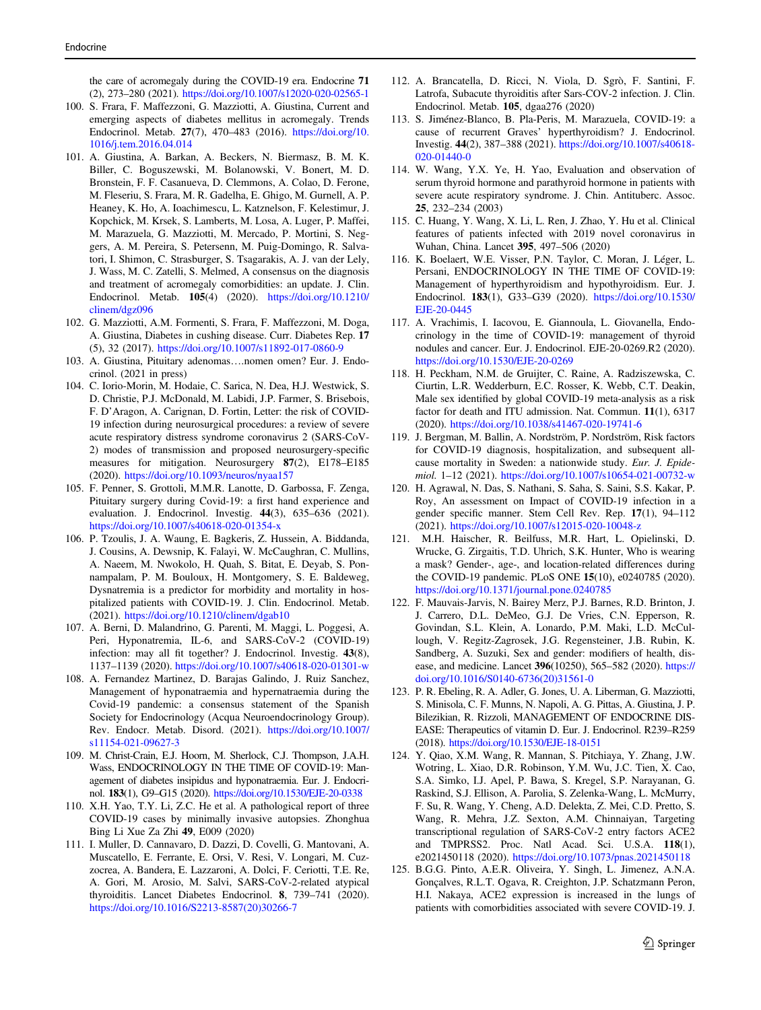<span id="page-14-0"></span>the care of acromegaly during the COVID-19 era. Endocrine 71 (2), 273–280 (2021). <https://doi.org/10.1007/s12020-020-02565-1>

- 100. S. Frara, F. Maffezzoni, G. Mazziotti, A. Giustina, Current and emerging aspects of diabetes mellitus in acromegaly. Trends Endocrinol. Metab. 27(7), 470–483 (2016). [https://doi.org/10.](https://doi.org/10.1016/j.tem.2016.04.014) [1016/j.tem.2016.04.014](https://doi.org/10.1016/j.tem.2016.04.014)
- 101. A. Giustina, A. Barkan, A. Beckers, N. Biermasz, B. M. K. Biller, C. Boguszewski, M. Bolanowski, V. Bonert, M. D. Bronstein, F. F. Casanueva, D. Clemmons, A. Colao, D. Ferone, M. Fleseriu, S. Frara, M. R. Gadelha, E. Ghigo, M. Gurnell, A. P. Heaney, K. Ho, A. Ioachimescu, L. Katznelson, F. Kelestimur, J. Kopchick, M. Krsek, S. Lamberts, M. Losa, A. Luger, P. Maffei, M. Marazuela, G. Mazziotti, M. Mercado, P. Mortini, S. Neggers, A. M. Pereira, S. Petersenn, M. Puig-Domingo, R. Salvatori, I. Shimon, C. Strasburger, S. Tsagarakis, A. J. van der Lely, J. Wass, M. C. Zatelli, S. Melmed, A consensus on the diagnosis and treatment of acromegaly comorbidities: an update. J. Clin. Endocrinol. Metab. 105(4) (2020). [https://doi.org/10.1210/](https://doi.org/10.1210/clinem/dgz096) [clinem/dgz096](https://doi.org/10.1210/clinem/dgz096)
- 102. G. Mazziotti, A.M. Formenti, S. Frara, F. Maffezzoni, M. Doga, A. Giustina, Diabetes in cushing disease. Curr. Diabetes Rep. 17 (5), 32 (2017). <https://doi.org/10.1007/s11892-017-0860-9>
- 103. A. Giustina, Pituitary adenomas….nomen omen? Eur. J. Endocrinol. (2021 in press)
- 104. C. Iorio-Morin, M. Hodaie, C. Sarica, N. Dea, H.J. Westwick, S. D. Christie, P.J. McDonald, M. Labidi, J.P. Farmer, S. Brisebois, F. D'Aragon, A. Carignan, D. Fortin, Letter: the risk of COVID-19 infection during neurosurgical procedures: a review of severe acute respiratory distress syndrome coronavirus 2 (SARS-CoV-2) modes of transmission and proposed neurosurgery-specific measures for mitigation. Neurosurgery 87(2), E178–E185 (2020). <https://doi.org/10.1093/neuros/nyaa157>
- 105. F. Penner, S. Grottoli, M.M.R. Lanotte, D. Garbossa, F. Zenga, Pituitary surgery during Covid-19: a first hand experience and evaluation. J. Endocrinol. Investig. 44(3), 635–636 (2021). <https://doi.org/10.1007/s40618-020-01354-x>
- 106. P. Tzoulis, J. A. Waung, E. Bagkeris, Z. Hussein, A. Biddanda, J. Cousins, A. Dewsnip, K. Falayi, W. McCaughran, C. Mullins, A. Naeem, M. Nwokolo, H. Quah, S. Bitat, E. Deyab, S. Ponnampalam, P. M. Bouloux, H. Montgomery, S. E. Baldeweg, Dysnatremia is a predictor for morbidity and mortality in hospitalized patients with COVID-19. J. Clin. Endocrinol. Metab. (2021). <https://doi.org/10.1210/clinem/dgab10>
- 107. A. Berni, D. Malandrino, G. Parenti, M. Maggi, L. Poggesi, A. Peri, Hyponatremia, IL-6, and SARS-CoV-2 (COVID-19) infection: may all fit together? J. Endocrinol. Investig. 43(8), 1137–1139 (2020). <https://doi.org/10.1007/s40618-020-01301-w>
- 108. A. Fernandez Martinez, D. Barajas Galindo, J. Ruiz Sanchez, Management of hyponatraemia and hypernatraemia during the Covid-19 pandemic: a consensus statement of the Spanish Society for Endocrinology (Acqua Neuroendocrinology Group). Rev. Endocr. Metab. Disord. (2021). [https://doi.org/10.1007/](https://doi.org/10.1007/s11154-021-09627-3) [s11154-021-09627-3](https://doi.org/10.1007/s11154-021-09627-3)
- 109. M. Christ-Crain, E.J. Hoorn, M. Sherlock, C.J. Thompson, J.A.H. Wass, ENDOCRINOLOGY IN THE TIME OF COVID-19: Management of diabetes insipidus and hyponatraemia. Eur. J. Endocrinol. 183(1), G9–G15 (2020). <https://doi.org/10.1530/EJE-20-0338>
- 110. X.H. Yao, T.Y. Li, Z.C. He et al. A pathological report of three COVID-19 cases by minimally invasive autopsies. Zhonghua Bing Li Xue Za Zhi 49, E009 (2020)
- 111. I. Muller, D. Cannavaro, D. Dazzi, D. Covelli, G. Mantovani, A. Muscatello, E. Ferrante, E. Orsi, V. Resi, V. Longari, M. Cuzzocrea, A. Bandera, E. Lazzaroni, A. Dolci, F. Ceriotti, T.E. Re, A. Gori, M. Arosio, M. Salvi, SARS-CoV-2-related atypical thyroiditis. Lancet Diabetes Endocrinol. 8, 739–741 (2020). [https://doi.org/10.1016/S2213-8587\(20\)30266-7](https://doi.org/10.1016/S2213-8587(20)30266-7)
- 112. A. Brancatella, D. Ricci, N. Viola, D. Sgrò, F. Santini, F. Latrofa, Subacute thyroiditis after Sars-COV-2 infection. J. Clin. Endocrinol. Metab. 105, dgaa276 (2020)
- 113. S. Jiménez-Blanco, B. Pla-Peris, M. Marazuela, COVID-19: a cause of recurrent Graves' hyperthyroidism? J. Endocrinol. Investig. 44(2), 387–388 (2021). [https://doi.org/10.1007/s40618-](https://doi.org/10.1007/s40618-020-01440-0) [020-01440-0](https://doi.org/10.1007/s40618-020-01440-0)
- 114. W. Wang, Y.X. Ye, H. Yao, Evaluation and observation of serum thyroid hormone and parathyroid hormone in patients with severe acute respiratory syndrome. J. Chin. Antituberc. Assoc. 25, 232–234 (2003)
- 115. C. Huang, Y. Wang, X. Li, L. Ren, J. Zhao, Y. Hu et al. Clinical features of patients infected with 2019 novel coronavirus in Wuhan, China. Lancet 395, 497–506 (2020)
- 116. K. Boelaert, W.E. Visser, P.N. Taylor, C. Moran, J. Léger, L. Persani, ENDOCRINOLOGY IN THE TIME OF COVID-19: Management of hyperthyroidism and hypothyroidism. Eur. J. Endocrinol. 183(1), G33–G39 (2020). [https://doi.org/10.1530/](https://doi.org/10.1530/EJE-20-0445) [EJE-20-0445](https://doi.org/10.1530/EJE-20-0445)
- 117. A. Vrachimis, I. Iacovou, E. Giannoula, L. Giovanella, Endocrinology in the time of COVID-19: management of thyroid nodules and cancer. Eur. J. Endocrinol. EJE-20-0269.R2 (2020). <https://doi.org/10.1530/EJE-20-0269>
- 118. H. Peckham, N.M. de Gruijter, C. Raine, A. Radziszewska, C. Ciurtin, L.R. Wedderburn, E.C. Rosser, K. Webb, C.T. Deakin, Male sex identified by global COVID-19 meta-analysis as a risk factor for death and ITU admission. Nat. Commun. 11(1), 6317 (2020). <https://doi.org/10.1038/s41467-020-19741-6>
- 119. J. Bergman, M. Ballin, A. Nordström, P. Nordström, Risk factors for COVID-19 diagnosis, hospitalization, and subsequent allcause mortality in Sweden: a nationwide study. Eur. J. Epidemiol. 1–12 (2021). <https://doi.org/10.1007/s10654-021-00732-w>
- 120. H. Agrawal, N. Das, S. Nathani, S. Saha, S. Saini, S.S. Kakar, P. Roy, An assessment on Impact of COVID-19 infection in a gender specific manner. Stem Cell Rev. Rep. 17(1), 94–112 (2021). <https://doi.org/10.1007/s12015-020-10048-z>
- 121. M.H. Haischer, R. Beilfuss, M.R. Hart, L. Opielinski, D. Wrucke, G. Zirgaitis, T.D. Uhrich, S.K. Hunter, Who is wearing a mask? Gender-, age-, and location-related differences during the COVID-19 pandemic. PLoS ONE 15(10), e0240785 (2020). <https://doi.org/10.1371/journal.pone.0240785>
- 122. F. Mauvais-Jarvis, N. Bairey Merz, P.J. Barnes, R.D. Brinton, J. J. Carrero, D.L. DeMeo, G.J. De Vries, C.N. Epperson, R. Govindan, S.L. Klein, A. Lonardo, P.M. Maki, L.D. McCullough, V. Regitz-Zagrosek, J.G. Regensteiner, J.B. Rubin, K. Sandberg, A. Suzuki, Sex and gender: modifiers of health, disease, and medicine. Lancet 396(10250), 565–582 (2020). [https://](https://doi.org/10.1016/S0140-6736(20)31561-0) [doi.org/10.1016/S0140-6736\(20\)31561-0](https://doi.org/10.1016/S0140-6736(20)31561-0)
- 123. P. R. Ebeling, R. A. Adler, G. Jones, U. A. Liberman, G. Mazziotti, S. Minisola, C. F. Munns, N. Napoli, A. G. Pittas, A. Giustina, J. P. Bilezikian, R. Rizzoli, MANAGEMENT OF ENDOCRINE DIS-EASE: Therapeutics of vitamin D. Eur. J. Endocrinol. R239–R259 (2018). <https://doi.org/10.1530/EJE-18-0151>
- 124. Y. Qiao, X.M. Wang, R. Mannan, S. Pitchiaya, Y. Zhang, J.W. Wotring, L. Xiao, D.R. Robinson, Y.M. Wu, J.C. Tien, X. Cao, S.A. Simko, I.J. Apel, P. Bawa, S. Kregel, S.P. Narayanan, G. Raskind, S.J. Ellison, A. Parolia, S. Zelenka-Wang, L. McMurry, F. Su, R. Wang, Y. Cheng, A.D. Delekta, Z. Mei, C.D. Pretto, S. Wang, R. Mehra, J.Z. Sexton, A.M. Chinnaiyan, Targeting transcriptional regulation of SARS-CoV-2 entry factors ACE2 and TMPRSS2. Proc. Natl Acad. Sci. U.S.A. 118(1), e2021450118 (2020). <https://doi.org/10.1073/pnas.2021450118>
- 125. B.G.G. Pinto, A.E.R. Oliveira, Y. Singh, L. Jimenez, A.N.A. Gonçalves, R.L.T. Ogava, R. Creighton, J.P. Schatzmann Peron, H.I. Nakaya, ACE2 expression is increased in the lungs of patients with comorbidities associated with severe COVID-19. J.